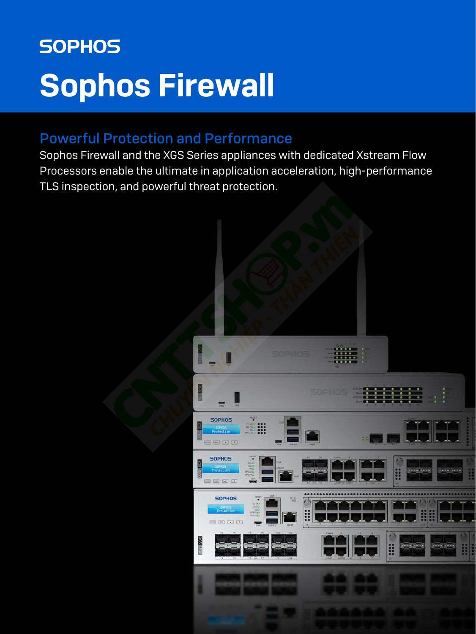# **SOPHOS** Sophos Firewall

# Powerful Protection and Performance

Sophos Firewall and the XGS Series appliances with dedicated Xstream Flow Processors enable the ultimate in application acceleration, high-performance TLS inspection, and powerful threat protection.

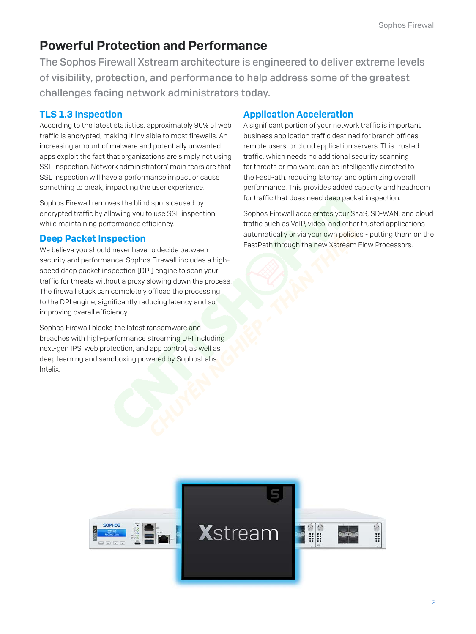# Powerful Protection and Performance

The Sophos Firewall Xstream architecture is engineered to deliver extreme levels of visibility, protection, and performance to help address some of the greatest challenges facing network administrators today.

# TLS 1.3 Inspection

According to the latest statistics, approximately 90% of web traffic is encrypted, making it invisible to most firewalls. An increasing amount of malware and potentially unwanted apps exploit the fact that organizations are simply not using SSL inspection. Network administrators' main fears are that SSL inspection will have a performance impact or cause something to break, impacting the user experience.

Sophos Firewall removes the blind spots caused by encrypted traffic by allowing you to use SSL inspection while maintaining performance efficiency.

### Deep Packet Inspection

We believe you should never have to decide between security and performance. Sophos Firewall includes a highspeed deep packet inspection (DPI) engine to scan your traffic for threats without a proxy slowing down the process. The firewall stack can completely offload the processing to the DPI engine, significantly reducing latency and so improving overall efficiency.

Sophos Firewall blocks the latest ransomware and breaches with high-performance streaming DPI including next-gen IPS, web protection, and app control, as well as deep learning and sandboxing powered by SophosLabs Intelix.

# Application Acceleration

A significant portion of your network traffic is important business application traffic destined for branch offices, remote users, or cloud application servers. This trusted traffic, which needs no additional security scanning for threats or malware, can be intelligently directed to the FastPath, reducing latency, and optimizing overall performance. This provides added capacity and headroom for traffic that does need deep packet inspection.

Sophos Firewall accelerates your SaaS, SD-WAN, and cloud traffic such as VoIP, video, and other trusted applications automatically or via your own policies - putting them on the FastPath through the new Xstream Flow Processors.

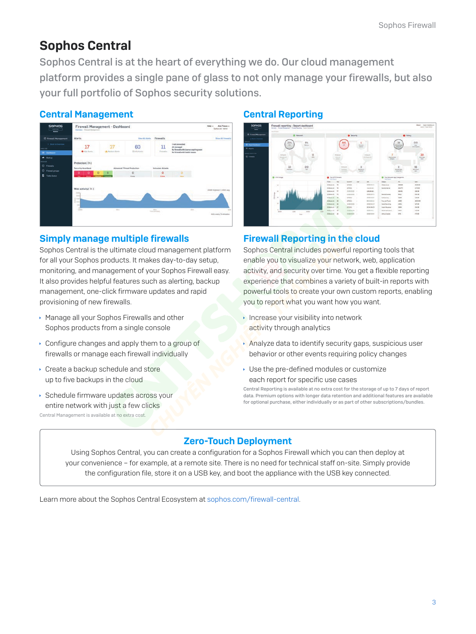# Sophos Central

Sophos Central is at the heart of everything we do. Our cloud management platform provides a single pane of glass to not only manage your firewalls, but also your full portfolio of Sophos security solutions.

### Central Management



### Simply manage multiple firewalls

Sophos Central is the ultimate cloud management platform for all your Sophos products. It makes day-to-day setup, monitoring, and management of your Sophos Firewall easy. It also provides helpful features such as alerting, backup management, one-click firmware updates and rapid provisioning of new firewalls.

- **Manage all your Sophos Firewalls and other** Sophos products from a single console
- $\cdot$  Configure changes and apply them to a group of firewalls or manage each firewall individually
- $\cdot$  Create a backup schedule and store up to five backups in the cloud
- **Schedule firmware updates across your** entire network with just a few clicks Central Management is available at no extra cost.

### Central Reporting



### Firewall Reporting in the cloud

Sophos Central includes powerful reporting tools that enable you to visualize your network, web, application activity, and security over time. You get a flexible reporting experience that combines a variety of built-in reports with powerful tools to create your own custom reports, enabling you to report what you want how you want.

- $\cdot$  Increase your visibility into network activity through analytics
- $\lambda$  Analyze data to identify security gaps, suspicious user behavior or other events requiring policy changes
- **I** Use the pre-defined modules or customize each report for specific use cases

Central Reporting is available at no extra cost for the storage of up to 7 days of report data. Premium options with longer data retention and additional features are available for optional purchase, either individually or as part of other subscriptions/bundles.

# Zero-Touch Deployment

Using Sophos Central, you can create a configuration for a Sophos Firewall which you can then deploy at your convenience – for example, at a remote site. There is no need for technical staff on-site. Simply provide the configuration file, store it on a USB key, and boot the appliance with the USB key connected.

Learn more about the Sophos Central Ecosystem at [sophos.com/firewall-central](https://www.sophos.com/en-us/products/next-gen-firewall/ecosystem-central.aspx).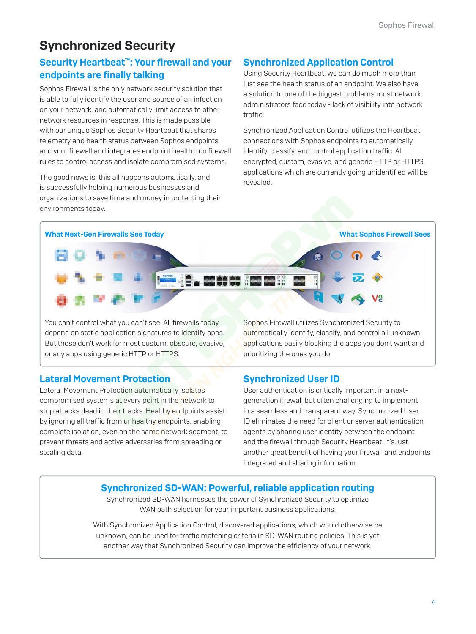# Synchronized Security

# Security Heartbeat™: Your firewall and your endpoints are finally talking

Sophos Firewall is the only network security solution that is able to fully identify the user and source of an infection on your network, and automatically limit access to other network resources in response. This is made possible with our unique Sophos Security Heartbeat that shares telemetry and health status between Sophos endpoints and your firewall and integrates endpoint health into firewall rules to control access and isolate compromised systems.

The good news is, this all happens automatically, and is successfully helping numerous businesses and organizations to save time and money in protecting their environments today.

# Synchronized Application Control

Using Security Heartbeat, we can do much more than just see the health status of an endpoint. We also have a solution to one of the biggest problems most network administrators face today - lack of visibility into network traffic.

Synchronized Application Control utilizes the Heartbeat connections with Sophos endpoints to automatically identify, classify, and control application traffic. All encrypted, custom, evasive, and generic HTTP or HTTPS applications which are currently going unidentified will be revealed.



You can't control what you can't see. All firewalls today depend on static application signatures to identify apps. But those don't work for most custom, obscure, evasive, or any apps using generic HTTP or HTTPS.

Sophos Firewall utilizes Synchronized Security to automatically identify, classify, and control all unknown applications easily blocking the apps you don't want and prioritizing the ones you do.

### Lateral Movement Protection

Lateral Movement Protection automatically isolates compromised systems at every point in the network to stop attacks dead in their tracks. Healthy endpoints assist by ignoring all traffic from unhealthy endpoints, enabling complete isolation, even on the same network segment, to prevent threats and active adversaries from spreading or stealing data.

Synchronized User ID

User authentication is critically important in a nextgeneration firewall but often challenging to implement in a seamless and transparent way. Synchronized User ID eliminates the need for client or server authentication agents by sharing user identity between the endpoint and the firewall through Security Heartbeat. It's just another great benefit of having your firewall and endpoints integrated and sharing information.

### Synchronized SD-WAN: Powerful, reliable application routing

Synchronized SD-WAN harnesses the power of Synchronized Security to optimize WAN path selection for your important business applications.

With Synchronized Application Control, discovered applications, which would otherwise be unknown, can be used for traffic matching criteria in SD-WAN routing policies. This is yet another way that Synchronized Security can improve the efficiency of your network.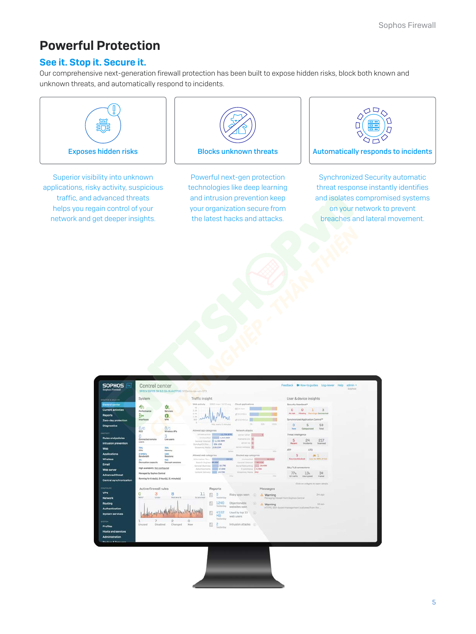# Powerful Protection

### See it. Stop it. Secure it.

Our comprehensive next-generation firewall protection has been built to expose hidden risks, block both known and unknown threats, and automatically respond to incidents.



Superior visibility into unknown applications, risky activity, suspicious traffic, and advanced threats helps you regain control of your network and get deeper insights.



Powerful next-gen protection technologies like deep learning and intrusion prevention keep your organization secure from the latest hacks and attacks.



Synchronized Security automatic threat response instantly identifies and isolates compromised systems on your network to prevent breaches and lateral movement.

| System<br><b>HONTON &amp; ANALYZE</b>                                           |                               | Traffic insight                                        |                                                                                 |                                                                  |            |                            | User & device insights                             |                       |  |
|---------------------------------------------------------------------------------|-------------------------------|--------------------------------------------------------|---------------------------------------------------------------------------------|------------------------------------------------------------------|------------|----------------------------|----------------------------------------------------|-----------------------|--|
| Control center<br>办                                                             |                               |                                                        | Web activity 3.002 man 1.1472 avg                                               | Cloud applications                                               |            |                            | Society Heartbeat*                                 |                       |  |
| <b>Current activities</b><br>Performance                                        | Services                      | $\sim$<br>3.38                                         |                                                                                 | ST 10 Percent                                                    |            |                            | $\alpha$<br>2<1<br>$\Omega$                        | $\mathbf{3}$          |  |
| ₿.                                                                              | $\mathbf \Omega$              | 3.48<br>Link.                                          |                                                                                 | an Siliking in                                                   |            |                            | <b>Hissing Warnings Connected</b><br><b>ALTIMA</b> |                       |  |
| Interfaces<br>Zero-day protection                                               | <b>VPM</b>                    | $100 - 10^{14}$<br>×                                   | Mits invery 2 minutes                                                           | at 110 years.<br>$\sim$                                          | <b>SON</b> | tors.                      | Synchronized Application Control <sup>ne</sup>     |                       |  |
| <b>Diagnostics</b><br>$0$ <sub>/0</sub>                                         | 0/1                           |                                                        |                                                                                 | Network attacks                                                  |            |                            | $\Omega$<br>5<br>Categorized<br>Nave               | 59<br>Total           |  |
| RED<br>n                                                                        | Wireless APs<br>3             | Allowed app categories                                 | Diffusioning the LLTMATH.                                                       | perversible.                                                     |            |                            | Threat intelligence                                |                       |  |
| <b>Rules and policies</b><br>Connected remote<br>peers.<br>Intrusion prevention | Live users                    | General Insurance 1,132,99M<br>Synchood Step. 558,1599 | <b>Strategiel Billion 4,415,05M</b>                                             | mateura cre. 32<br>personal \$1                                  |            |                            | 5<br>24<br><b>Incidents</b><br>Recent              | 217<br><b>Scanned</b> |  |
| 28%<br><b>CPU</b>                                                               | 70%<br>Momory                 | Streaming Fordia 238-25M                               |                                                                                 | stroy-webles 30<br><b>Tyles</b>                                  |            | <b>Telesia</b>             | <b>ATP</b><br><b>UTO</b>                           |                       |  |
| <b>Applications</b><br>$2.3000/\epsilon$<br>Bandwichh                           | 1.8K<br>Sessions              | Allowed with categories.                               |                                                                                 | Blocked app categories                                           |            |                            | 5                                                  | 11                    |  |
| m<br>Decryption capacity                                                        | <b>MR</b><br>Decrypt sessions | Search Engines (\$1436)                                | Information Tec., 1980, 1990, 440                                               | General Internet 1040/110                                        |            | <b>SHOWFOOT TELEVISION</b> | Sources blocked Ato. for 60% of risk               |                       |  |
| High availability: Not configured                                               |                               |                                                        | General Business <b>Correlate 18, 7900</b><br>Advertisements <b>SHIP 17.04K</b> | <b>Social National College 20,400</b><br><b>Experience EASSO</b> |            |                            | SSL/TLS connections                                |                       |  |
| Web server<br>Managed by Sophos Central<br><b>Advanced threat</b>               |                               |                                                        | Contact Delivery 14.796                                                         | Dinamog Hulla 1442                                               |            |                            | 77%<br>13 <sub>n</sub>                             | 34                    |  |
| Running for 6 day(s), 0 hour(s), 21 minute(s)<br>Central synchronization        |                               |                                                        |                                                                                 | 1112                                                             |            | 16mg                       | Of traffic<br>Decrypted                            | Falled                |  |
|                                                                                 |                               |                                                        |                                                                                 |                                                                  |            |                            | Dick on widgets to open details.                   |                       |  |
| Active firewall rules                                                           |                               |                                                        | Reports                                                                         |                                                                  |            | Messages                   |                                                    |                       |  |
| 3<br>0<br><b>WAF</b><br>User                                                    | 8<br>Notwork                  | 11<br>Scanned                                          | $\theta$<br>Ventenber                                                           | Risky apps seen                                                  |            | A Warning                  | Managing firewall from Sophus Central              | Zmapo                 |  |
| Authentication                                                                  |                               |                                                        | 1240<br>₿<br>Vestanday                                                          | Objectionable)<br>websites seen                                  | œ.         | A Warning                  | HTTPS, SSH-based management is allowed from the    | 6d ago                |  |
| System services                                                                 |                               |                                                        | 4102<br>MB                                                                      | Used by top 10<br>web users                                      | - 120      |                            |                                                    |                       |  |
|                                                                                 | $\overline{c}$                | $\Omega$                                               | Vesterday                                                                       |                                                                  |            |                            |                                                    |                       |  |
| Unused<br>Disabled                                                              | Changed                       | New                                                    | 2<br>Vestarday                                                                  | Intrusion attacks (2)                                            |            |                            |                                                    |                       |  |
| Hosts and services                                                              |                               |                                                        |                                                                                 |                                                                  |            |                            |                                                    |                       |  |
| <b>Administration</b>                                                           |                               |                                                        |                                                                                 |                                                                  |            |                            |                                                    |                       |  |

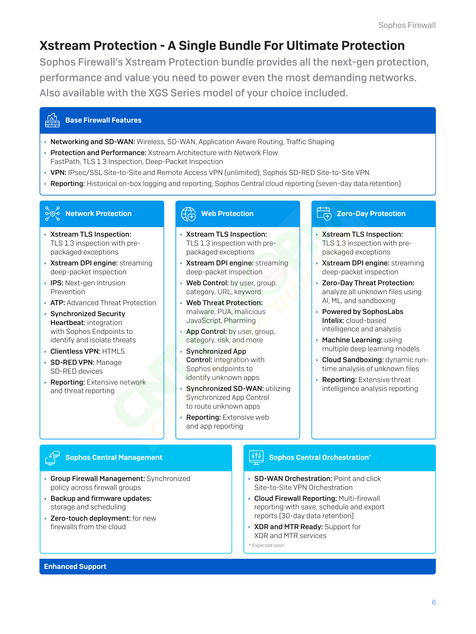# Xstream Protection - A Single Bundle For Ultimate Protection

Sophos Firewall's Xstream Protection bundle provides all the next-gen protection, performance and value you need to power even the most demanding networks. Also available with the XGS Series model of your choice included.

#### Base Firewall Features

- **Networking and SD-WAN:** Wireless, SD-WAN, Application Aware Routing, Traffic Shaping
- **Protection and Performance:** Xstream Architecture with Network Flow FastPath, TLS 1.3 Inspection, Deep-Packet Inspection
- ▶ VPN: IPsec/SSL Site-to-Site and Remote Access VPN (unlimited), Sophos SD-RED Site-to-Site VPN
- **Reporting:** Historical on-box logging and reporting, Sophos Central cloud reporting (seven-day data retention)

# Network Protection

- **Xistream TLS Inspection:** TLS 1.3 inspection with prepackaged exceptions
- **Xstream DPI engine: streaming** deep-packet inspection
- $\cdot$  IPS: Next-gen Intrusion Prevention
- **ATP:** Advanced Threat Protection
- $\rightarrow$  Synchronized Security Heartbeat: integration with Sophos Endpoints to identify and isolate threats
- **Clientless VPN: HTML5**
- **SD-RED VPN: Manage** SD-RED devices
- **Reporting:** Extensive network and threat reporting

### Web Protection

- Xstream TLS Inspection: TLS 1.3 inspection with prepackaged exceptions
- Xstream DPI engine: streaming deep-packet inspection
- Web Control: by user, group, category, URL, keyword
- Web Threat Protection: malware, PUA, malicious JavaScript, Pharming
- App Control: by user, group, category, risk, and more
- **Synchronized App** Control: integration with Sophos endpoints to identify unknown apps
- Synchronized SD-WAN: utilizing Synchronized App Control to route unknown apps
- **Reporting: Extensive web** and app reporting

#### Zero-Day Protection ெடி

- **Xistream TLS Inspection:** TLS 1.3 inspection with prepackaged exceptions
- **Xstream DPI engine: streaming** deep-packet inspection
- **EXECO-Day Threat Protection:** analyze all unknown files using AI, ML, and sandboxing
- ▸ Powered by SophosLabs Intelix: cloud-based intelligence and analysis
- $\cdot$  Machine Learning: using multiple deep learning models
- **Cloud Sandboxing: dynamic run**time analysis of unknown files
- **Reporting:** Extensive threat intelligence analysis reporting

### Sophos Central Management

- **Group Firewall Management: Synchronized** policy across firewall groups
- $\rightarrow$  Backup and firmware updates: storage and scheduling
- **Zero-touch deployment:** for new firewalls from the cloud

### Sophos Central Orchestration\*

- **SD-WAN Orchestration: Point and click** Site-to-Site VPN Orchestration
- **Cloud Firewall Reporting: Multi-firewall** reporting with save, schedule and export reports (30-day data retention)
- ▶ XDR and MTR Ready: Support for XDR and MTR services

\* Expected soon

#### Enhanced Support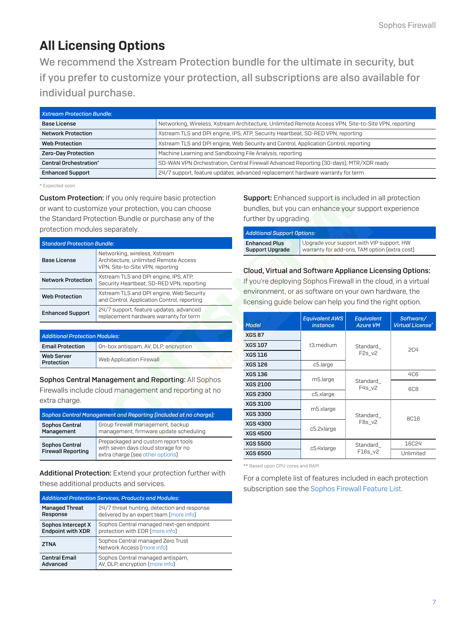# <span id="page-6-0"></span>All Licensing Options

We recommend the Xstream Protection bundle for the ultimate in security, but if you prefer to customize your protection, all subscriptions are also available for individual purchase.

| <b>Xstream Protection Bundle:</b> |                                                                                                      |
|-----------------------------------|------------------------------------------------------------------------------------------------------|
| <b>Base License</b>               | Networking, Wireless, Xstream Architecture, Unlimited Remote Access VPN, Site-to-Site VPN, reporting |
| <b>Network Protection</b>         | Xstream TLS and DPI engine, IPS, ATP, Security Heartbeat, SD-RED VPN, reporting                      |
| Web Protection                    | Xstream TLS and DPI engine, Web Security and Control, Application Control, reporting                 |
| Zero-Day Protection               | Machine Learning and Sandboxing File Analysis, reporting                                             |
| <b>Central Orchestration*</b>     | SD-WAN VPN Orchestration, Central Firewall Advanced Reporting (30-days), MTR/XDR ready               |
| <b>Enhanced Support</b>           | 24/7 support, feature updates, advanced replacement hardware warranty for term                       |

\* Expected soon

**Custom Protection:** If you only require basic protection or want to customize your protection, you can choose the Standard Protection Bundle or purchase any of the protection modules separately.

| <b>Standard Protection Bundle:</b> |                                                                                                            |  |  |  |
|------------------------------------|------------------------------------------------------------------------------------------------------------|--|--|--|
| <b>Base License</b>                | Networking, wireless, Xstream<br>Architecture, unlimited Remote Access<br>VPN, Site-to-Site VPN, reporting |  |  |  |
| <b>Network Protection</b>          | Xstream TLS and DPI engine, IPS, ATP,<br>Security Heartbeat, SD-RED VPN, reporting                         |  |  |  |
| <b>Web Protection</b>              | Xstream TLS and DPI engine, Web Security<br>and Control, Application Control, reporting                    |  |  |  |
| <b>Enhanced Support</b>            | 24/7 support, feature updates, advanced<br>replacement hardware warranty for term                          |  |  |  |

| <b>Additional Protection Modules:</b> |                                      |  |
|---------------------------------------|--------------------------------------|--|
| <b>Email Protection</b>               | On-box antispam, AV, DLP, encryption |  |
| <b>Web Server</b><br>Protection       | Web Application Firewall             |  |

Sophos Central Management and Reporting: All Sophos Firewalls include cloud management and reporting at no extra charge.

| Sophos Central Management and Reporting (included at no charge): |                                                                                                                 |  |  |
|------------------------------------------------------------------|-----------------------------------------------------------------------------------------------------------------|--|--|
| Sophos Central<br>Management                                     | Group firewall management, backup<br>management, firmware update scheduling                                     |  |  |
| Sophos Central<br><b>Firewall Reporting</b>                      | Prepackaged and custom report tools<br>with seven days cloud storage for no<br>extra charge [see other options] |  |  |

Additional Protection: Extend your protection further with these additional products and services.

| <b>Additional Protection Services, Products and Modules:</b> |                                                                 |  |  |  |
|--------------------------------------------------------------|-----------------------------------------------------------------|--|--|--|
| <b>Managed Threat</b>                                        | 24/7 threat hunting, detection and response                     |  |  |  |
| Response                                                     | delivered by an expert team (more info)                         |  |  |  |
| Sophos Intercept X                                           | Sophos Central managed next-gen endpoint                        |  |  |  |
| <b>Endpoint with XDR</b>                                     | protection with EDR (more info)                                 |  |  |  |
| <b>ZTNA</b>                                                  | Sophos Central managed Zero Trust<br>Network Access (more info) |  |  |  |
| <b>Central Email</b>                                         | Sophos Central managed antispam,                                |  |  |  |
| Advanced                                                     | AV, DLP, encryption [more info]                                 |  |  |  |

Support: Enhanced support is included in all protection bundles, but you can enhance your support experience further by upgrading.

| <b>Additional Support Options:</b> |                                               |  |  |  |
|------------------------------------|-----------------------------------------------|--|--|--|
| <b>Enhanced Plus</b>               | Upgrade your support with VIP support, HW     |  |  |  |
| <b>Support Upgrade</b>             | warranty for add-ons, TAM option (extra cost) |  |  |  |

#### Cloud, Virtual and Software Appliance Licensing Options:

If you're deploying Sophos Firewall in the cloud, in a virtual environment, or as software on your own hardware, the licensing guide below can help you find the right option.

| <b>Model</b>    | <b>Equivalent AWS</b><br><i>instance</i> | <b>Equivalent</b><br><b>Azure VM</b> | Software/<br><b>Virtual License*</b> |  |
|-----------------|------------------------------------------|--------------------------------------|--------------------------------------|--|
| <b>XGS 87</b>   |                                          |                                      | <b>2C4</b>                           |  |
| <b>XGS 107</b>  | t3.medium                                | Standard                             |                                      |  |
| <b>XGS 116</b>  |                                          | F <sub>2s</sub> v <sub>2</sub>       |                                      |  |
| <b>XGS 126</b>  | c5.large                                 |                                      |                                      |  |
| <b>XGS 136</b>  | m5.large                                 |                                      | <b>4C6</b>                           |  |
| <b>XGS 2100</b> |                                          | Standard<br>F4s_v2                   | <b>6C8</b>                           |  |
| <b>XGS 2300</b> | c5.xlarge                                |                                      |                                      |  |
| <b>XGS 3100</b> | m5.xlarge                                |                                      | <b>8C16</b>                          |  |
| <b>XGS 3300</b> |                                          | Standard                             |                                      |  |
| <b>XGS 4300</b> | c5.2xlarge                               | $F8s_v2$                             |                                      |  |
| <b>XGS 4500</b> |                                          |                                      |                                      |  |
| <b>XGS 5500</b> | c5.4xlarge                               | Standard                             | <b>16C24</b>                         |  |
| <b>XGS 6500</b> |                                          | F16s v2                              | Unlimited                            |  |

\*\* Based upon CPU cores and RAM

For a complete list of features included in each protection subscription see the [Sophos Firewall Feature List](https://www.sophos.com/firewall-features).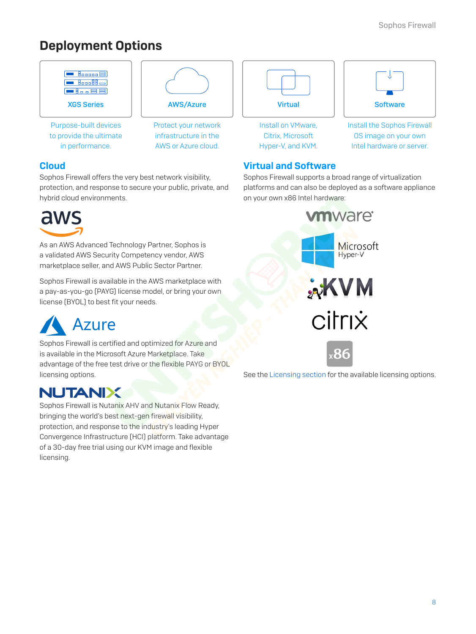# Deployment Options



# Cloud

Sophos Firewall offers the very best network visibility, protection, and response to secure your public, private, and hybrid cloud environments.



As an AWS Advanced Technology Partner, Sophos is a validated AWS Security Competency vendor, AWS marketplace seller, and AWS Public Sector Partner.

Sophos Firewall is available in the AWS marketplace with a pay-as-you-go (PAYG) license model, or bring your own license (BYOL) to best fit your needs.



Sophos Firewall is certified and optimized for Azure and is available in the Microsoft Azure Marketplace. Take advantage of the free test drive or the flexible PAYG or BYOL licensing options.

# **NUTANIX**

Sophos Firewall is Nutanix AHV and Nutanix Flow Ready, bringing the world's best next-gen firewall visibility, protection, and response to the industry's leading Hyper Convergence Infrastructure (HCI) platform. Take advantage of a 30-day free trial using our KVM image and flexible licensing.

# Virtual and Software

Sophos Firewall supports a broad range of virtualization platforms and can also be deployed as a software appliance on your own x86 Intel hardware:



See the [Licensing section](#page-6-0) for the available licensing options.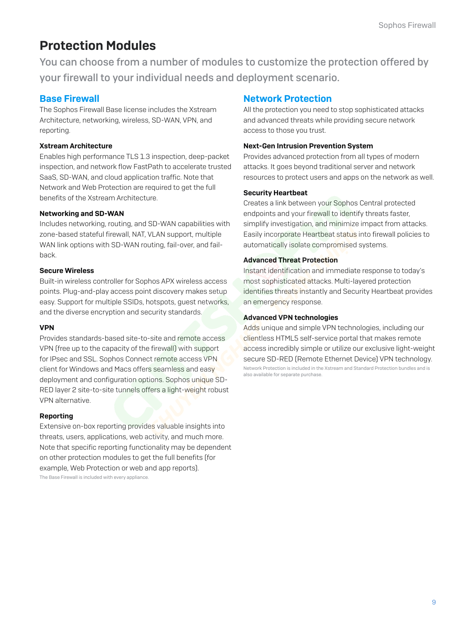# Protection Modules

You can choose from a number of modules to customize the protection offered by your firewall to your individual needs and deployment scenario.

### Base Firewall

The Sophos Firewall Base license includes the Xstream Architecture, networking, wireless, SD-WAN, VPN, and reporting.

#### Xstream Architecture

Enables high performance TLS 1.3 inspection, deep-packet inspection, and network flow FastPath to accelerate trusted SaaS, SD-WAN, and cloud application traffic. Note that Network and Web Protection are required to get the full benefits of the Xstream Architecture.

#### Networking and SD-WAN

Includes networking, routing, and SD-WAN capabilities with zone-based stateful firewall, NAT, VLAN support, multiple WAN link options with SD-WAN routing, fail-over, and failback.

#### Secure Wireless

Built-in wireless controller for Sophos APX wireless access points. Plug-and-play access point discovery makes setup easy. Support for multiple SSIDs, hotspots, guest networks, and the diverse encryption and security standards.

#### VPN

Provides standards-based site-to-site and remote access VPN (free up to the capacity of the firewall) with support for IPsec and SSL. Sophos Connect remote access VPN client for Windows and Macs offers seamless and easy deployment and configuration options. Sophos unique SD-RED layer 2 site-to-site tunnels offers a light-weight robust VPN alternative.

#### Reporting

Extensive on-box reporting provides valuable insights into threats, users, applications, web activity, and much more. Note that specific reporting functionality may be dependent on other protection modules to get the full benefits (for example, Web Protection or web and app reports). The Base Firewall is included with every appliance.

### Network Protection

All the protection you need to stop sophisticated attacks and advanced threats while providing secure network access to those you trust.

#### Next-Gen Intrusion Prevention System

Provides advanced protection from all types of modern attacks. It goes beyond traditional server and network resources to protect users and apps on the network as well.

#### Security Heartbeat

Creates a link between your Sophos Central protected endpoints and your firewall to identify threats faster, simplify investigation, and minimize impact from attacks. Easily incorporate Heartbeat status into firewall policies to automatically isolate compromised systems.

#### Advanced Threat Protection

Instant identification and immediate response to today's most sophisticated attacks. Multi-layered protection identifies threats instantly and Security Heartbeat provides an emergency response.

#### Advanced VPN technologies

Adds unique and simple VPN technologies, including our clientless HTML5 self-service portal that makes remote access incredibly simple or utilize our exclusive light-weight secure SD-RED (Remote Ethernet Device) VPN technology. Network Protection is included in the Xstream and Standard Protection bundles and is also available for separate purchase.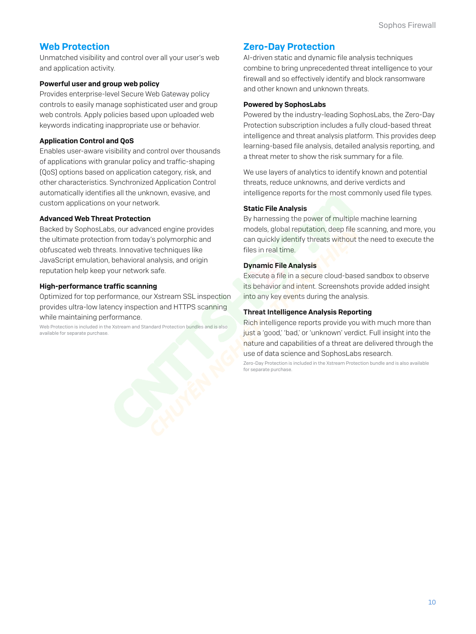### Web Protection

Unmatched visibility and control over all your user's web and application activity.

#### Powerful user and group web policy

Provides enterprise-level Secure Web Gateway policy controls to easily manage sophisticated user and group web controls. Apply policies based upon uploaded web keywords indicating inappropriate use or behavior.

#### Application Control and QoS

Enables user-aware visibility and control over thousands of applications with granular policy and traffic-shaping (QoS) options based on application category, risk, and other characteristics. Synchronized Application Control automatically identifies all the unknown, evasive, and custom applications on your network.

#### Advanced Web Threat Protection

Backed by SophosLabs, our advanced engine provides the ultimate protection from today's polymorphic and obfuscated web threats. Innovative techniques like JavaScript emulation, behavioral analysis, and origin reputation help keep your network safe.

#### High-performance traffic scanning

Optimized for top performance, our Xstream SSL inspection provides ultra-low latency inspection and HTTPS scanning while maintaining performance.

Web Protection is included in the Xstream and Standard Protection bundles and is also available for separate purchase.

### Zero-Day Protection

AI-driven static and dynamic file analysis techniques combine to bring unprecedented threat intelligence to your firewall and so effectively identify and block ransomware and other known and unknown threats.

#### Powered by SophosLabs

Powered by the industry-leading SophosLabs, the Zero-Day Protection subscription includes a fully cloud-based threat intelligence and threat analysis platform. This provides deep learning-based file analysis, detailed analysis reporting, and a threat meter to show the risk summary for a file.

We use layers of analytics to identify known and potential threats, reduce unknowns, and derive verdicts and intelligence reports for the most commonly used file types.

#### Static File Analysis

By harnessing the power of multiple machine learning models, global reputation, deep file scanning, and more, you can quickly identify threats without the need to execute the files in real time.

#### Dynamic File Analysis

Execute a file in a secure cloud-based sandbox to observe its behavior and intent. Screenshots provide added insight into any key events during the analysis.

#### Threat Intelligence Analysis Reporting

Rich intelligence reports provide you with much more than just a 'good,' 'bad,' or 'unknown' verdict. Full insight into the nature and capabilities of a threat are delivered through the use of data science and SophosLabs research.

Zero-Day Protection is included in the Xstream Protection bundle and is also available for separate purchase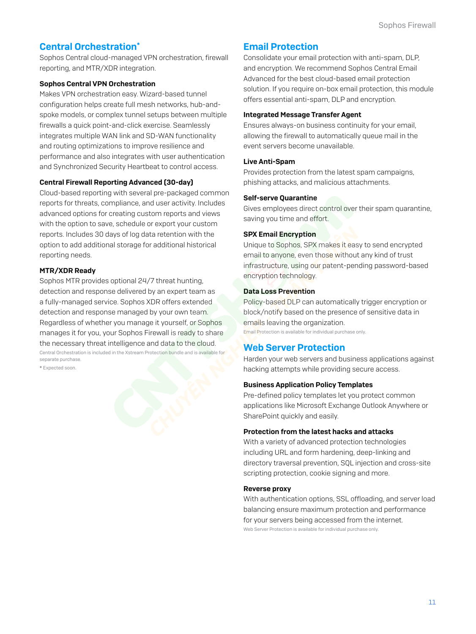### **Central Orchestration\***

Sophos Central cloud-managed VPN orchestration, firewall reporting, and MTR/XDR integration.

#### Sophos Central VPN Orchestration

Makes VPN orchestration easy. Wizard-based tunnel configuration helps create full mesh networks, hub-andspoke models, or complex tunnel setups between multiple firewalls a quick point-and-click exercise. Seamlessly integrates multiple WAN link and SD-WAN functionality and routing optimizations to improve resilience and performance and also integrates with user authentication and Synchronized Security Heartbeat to control access.

#### Central Firewall Reporting Advanced (30-day)

Cloud-based reporting with several pre-packaged common reports for threats, compliance, and user activity. Includes advanced options for creating custom reports and views with the option to save, schedule or export your custom reports. Includes 30 days of log data retention with the option to add additional storage for additional historical reporting needs.

#### MTR/XDR Ready

Sophos MTR provides optional 24/7 threat hunting, detection and response delivered by an expert team as a fully-managed service. Sophos XDR offers extended detection and response managed by your own team. Regardless of whether you manage it yourself, or Sophos manages it for you, your Sophos Firewall is ready to share the necessary threat intelligence and data to the cloud. Central Orchestration is included in the Xstream Protection bundle and is available for separate purchase.

\* Expected soon.

#### Email Protection

Consolidate your email protection with anti-spam, DLP, and encryption. We recommend Sophos Central Email Advanced for the best cloud-based email protection solution. If you require on-box email protection, this module offers essential anti-spam, DLP and encryption.

#### Integrated Message Transfer Agent

Ensures always-on business continuity for your email, allowing the firewall to automatically queue mail in the event servers become unavailable.

#### Live Anti-Spam

Provides protection from the latest spam campaigns, phishing attacks, and malicious attachments.

#### Self-serve Quarantine

Gives employees direct control over their spam quarantine, saving you time and effort.

#### SPX Email Encryption

Unique to Sophos, SPX makes it easy to send encrypted email to anyone, even those without any kind of trust infrastructure, using our patent-pending password-based encryption technology.

#### Data Loss Prevention

Policy-based DLP can automatically trigger encryption or block/notify based on the presence of sensitive data in emails leaving the organization.

Email Protection is available for individual purchase only.

### Web Server Protection

Harden your web servers and business applications against hacking attempts while providing secure access.

#### Business Application Policy Templates

Pre-defined policy templates let you protect common applications like Microsoft Exchange Outlook Anywhere or SharePoint quickly and easily.

#### Protection from the latest hacks and attacks

With a variety of advanced protection technologies including URL and form hardening, deep-linking and directory traversal prevention, SQL injection and cross-site scripting protection, cookie signing and more.

#### Reverse proxy

With authentication options, SSL offloading, and server load balancing ensure maximum protection and performance for your servers being accessed from the internet. Web Server Protection is available for individual purchase only.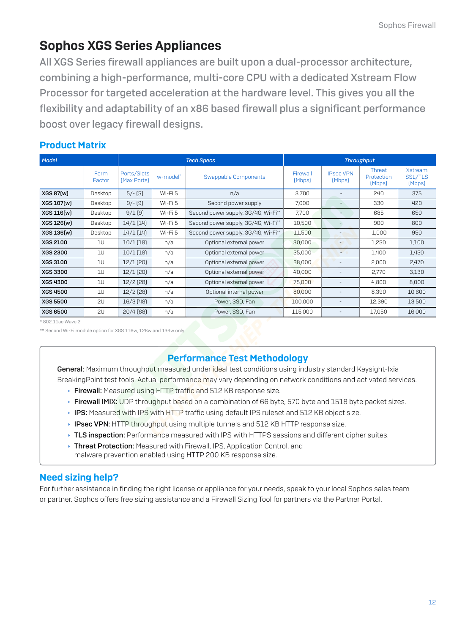# <span id="page-11-0"></span>Sophos XGS Series Appliances

All XGS Series firewall appliances are built upon a dual-processor architecture, combining a high-performance, multi-core CPU with a dedicated Xstream Flow Processor for targeted acceleration at the hardware level. This gives you all the flexibility and adaptability of an x86 based firewall plus a significant performance boost over legacy firewall designs.

# Product Matrix

| Model           |                | <b>Tech Specs</b>          |          |                                     | <b>Throughput</b>  |                            |                                |                                            |
|-----------------|----------------|----------------------------|----------|-------------------------------------|--------------------|----------------------------|--------------------------------|--------------------------------------------|
|                 | Form<br>Factor | Ports/Slots<br>[Max Ports] | w-model* | Swappable Components                | Firewall<br>[Mbps] | <b>IPsec VPN</b><br>[Mbps] | Threat<br>Protection<br>[Mbps] | <b>Xstream</b><br><b>SSL/TLS</b><br>[Mbps] |
| XGS 87(w)       | Desktop        | $5/-$ [5]                  | Wi-Fi 5  | n/a                                 | 3.700              |                            | 240                            | 375                                        |
| XGS 107(w)      | Desktop        | $9/-$ [9]                  | Wi-Fi 5  | Second power supply                 | 7.000              |                            | 330                            | 420                                        |
| XGS 116(w)      | Desktop        | 9/1(9)                     | Wi-Fi 5  | Second power supply, 3G/4G, Wi-Fi** | 7,700              |                            | 685                            | 650                                        |
| XGS 126(w)      | Desktop        | 14/1(14)                   | Wi-Fi 5  | Second power supply, 3G/4G, Wi-Fi** | 10,500             |                            | 900                            | 800                                        |
| XGS 136(w)      | Desktop        | 14/1(14)                   | Wi-Fi 5  | Second power supply, 3G/4G, Wi-Fi** | 11,500             |                            | 1,000                          | 950                                        |
| <b>XGS 2100</b> | 10             | $10/1$ $(18)$              | n/a      | Optional external power             | 30,000             |                            | 1,250                          | 1,100                                      |
| <b>XGS 2300</b> | 10             | $10/1$ $(18)$              | n/a      | Optional external power             | 35,000             | $-$                        | 1,400                          | 1,450                                      |
| <b>XGS 3100</b> | 1U             | $12/1$ (20)                | n/a      | Optional external power             | 38,000             |                            | 2,000                          | 2,470                                      |
| <b>XGS 3300</b> | 10             | $12/1$ (20)                | n/a      | Optional external power             | 40,000             |                            | 2,770                          | 3,130                                      |
| <b>XGS 4300</b> | 10             | 12/2[28]                   | n/a      | Optional external power             | 75,000             |                            | 4,800                          | 8,000                                      |
| <b>XGS 4500</b> | 10             | $12/2$ [28]                | n/a      | Optional internal power             | 80,000             |                            | 8,390                          | 10,600                                     |
| <b>XGS 5500</b> | 2U             | $16/3$ [48]                | n/a      | Power, SSD, Fan                     | 100,000            |                            | 12,390                         | 13,500                                     |
| <b>XGS 6500</b> | 2U             | 20/4(68)                   | n/a      | Power, SSD, Fan                     | 115,000            |                            | 17.050                         | 16,000                                     |

\* 802.11ac Wave 2

\*\* Second Wi-Fi module option for XGS 116w, 126w and 136w only

# Performance Test Methodology

General: Maximum throughput measured under ideal test conditions using industry standard Keysight-Ixia BreakingPoint test tools. Actual performance may vary depending on network conditions and activated services.

- **Firewall:** Measured using HTTP traffic and 512 KB response size.
- **Firewall IMIX:** UDP throughput based on a combination of 66 byte, 570 byte and 1518 byte packet sizes.
- **IPS:** Measured with IPS with HTTP traffic using default IPS ruleset and 512 KB object size.
- $\rightarrow$  IPsec VPN: HTTP throughput using multiple tunnels and 512 KB HTTP response size.
- $\rightarrow$  TLS inspection: Performance measured with IPS with HTTPS sessions and different cipher suites.
- **Threat Protection:** Measured with Firewall, IPS, Application Control, and malware prevention enabled using HTTP 200 KB response size.

# Need sizing help?

For further assistance in finding the right license or appliance for your needs, speak to your local Sophos sales team or partner. Sophos offers free sizing assistance and a Firewall Sizing Tool for partners via the Partner Portal.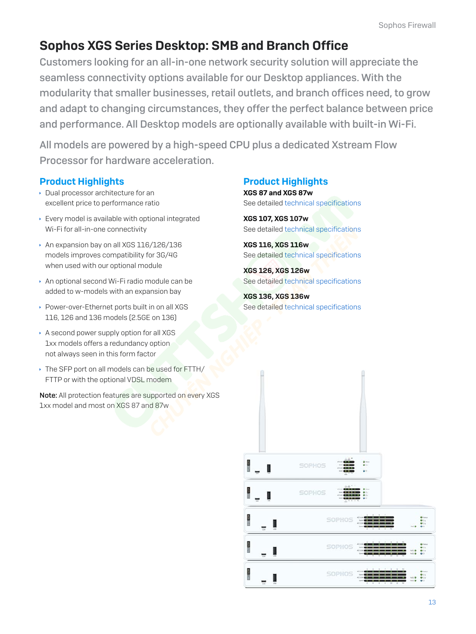# Sophos XGS Series Desktop: SMB and Branch Office

Customers looking for an all-in-one network security solution will appreciate the seamless connectivity options available for our Desktop appliances. With the modularity that smaller businesses, retail outlets, and branch offices need, to grow and adapt to changing circumstances, they offer the perfect balance between price and performance. All Desktop models are optionally available with built-in Wi-Fi.

All models are powered by a high-speed CPU plus a dedicated Xstream Flow Processor for hardware acceleration.

# Product Highlights

- $\rightarrow$  Dual processor architecture for an excellent price to performance ratio
- $\rightarrow$  Every model is available with optional integrated Wi-Fi for all-in-one connectivity
- **An expansion bay on all XGS 116/126/136** models improves compatibility for 3G/4G when used with our optional module
- **An optional second Wi-Fi radio module can be** added to w-models with an expansion bay
- **Power-over-Ethernet ports built in on all XGS** 116, 126 and 136 models (2.5GE on 136)
- $\cdot$  A second power supply option for all XGS 1xx models offers a redundancy option not always seen in this form factor
- If The SFP port on all models can be used for FTTH/ FTTP or with the optional VDSL modem

Note: All protection features are supported on every XGS 1xx model and most on XGS 87 and 87w

# Product Highlights

XGS 87 and XGS 87w See detailed [technical specifications](#page-13-0)

XGS 107, XGS 107w See detailed [technical specifications](#page-14-0)

XGS 116, XGS 116w See detailed [technical specifications](#page-15-0)

XGS 126, XGS 126w See detailed [technical specifications](#page-16-0)

XGS 136, XGS 136w See detailed [technical specifications](#page-18-0)

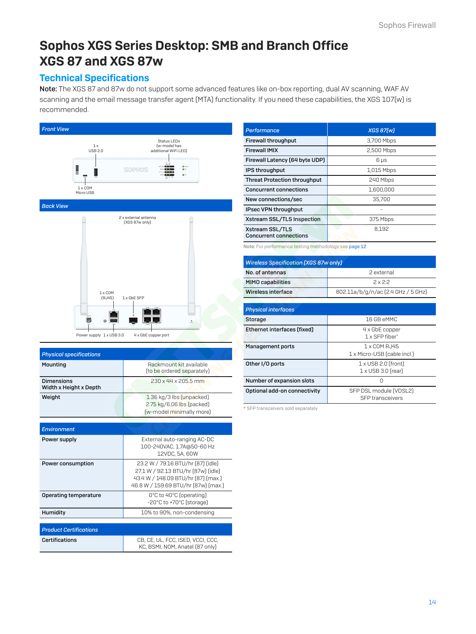# <span id="page-13-0"></span>Sophos XGS Series Desktop: SMB and Branch Office XGS 87 and XGS 87w

### Technical Specifications

Note: The XGS 87 and 87w do not support some advanced features like on-box reporting, dual AV scanning, WAF AV scanning and the email message transfer agent (MTA) functionality. If you need these capabilities, the XGS 107(w) is recommended.



| <b>Physical specifications</b>       |                                                                                                                                                      |
|--------------------------------------|------------------------------------------------------------------------------------------------------------------------------------------------------|
| Mounting                             | Rackmount kit available<br>(to be ordered separately)                                                                                                |
| Dimensions<br>Width x Height x Depth | 230 x 44 x 205.5 mm                                                                                                                                  |
| Weight                               | 1.36 kg/3 lbs (unpacked)<br>2.75 kg/6.06 lbs (packed)<br>(w-model minimally more)                                                                    |
|                                      |                                                                                                                                                      |
| Environment                          |                                                                                                                                                      |
| Power supply                         | External auto-ranging AC-DC<br>100-240VAC, 1.7A@50-60 Hz<br>12VDC, 5A, 60W                                                                           |
| Power consumption                    | 23.2 W / 79.16 BTU/hr [87] [idle]<br>27.1 W / 92.13 BTU/hr [87w] [idle]<br>43.4 W / 148.09 BTU/hr [87] [max.]<br>46.8 W / 159.69 BTU/hr [87w] [max.] |
| <b>Operating temperature</b>         | 0°C to 40°C (operating)<br>-20°C to +70°C (storage)                                                                                                  |
| Humidity                             | 10% to 90%, non-condensing                                                                                                                           |
|                                      |                                                                                                                                                      |
| <b>Product Certifications</b>        |                                                                                                                                                      |
| <b>Certifications</b>                | CB, CE, UL, FCC, ISED, VCCI, CCC,<br>KC. BSMI, NOM, Anatel (87 only)                                                                                 |

| Performance                                      | XGS 87[w]  |
|--------------------------------------------------|------------|
| <b>Firewall throughput</b>                       | 3,700 Mbps |
| <b>Firewall IMIX</b>                             | 2,500 Mbps |
| Firewall Latency (64 byte UDP)                   | 6 µs       |
| IPS throughput                                   | 1,015 Mbps |
| <b>Threat Protection throughput</b>              | 240 Mbps   |
| <b>Concurrent connections</b>                    | 1,600,000  |
| New connections/sec                              | 35,700     |
| IPsec VPN throughput                             |            |
| Xstream SSL/TLS Inspection                       | 375 Mbps   |
| Xstream SSL/TLS<br><b>Concurrent connections</b> | 8.192      |

Note: For performance testing methodology see [page 1](#page-11-0)2

| <b>Wireless Specification [XGS 87w only]</b> |                                    |  |  |  |
|----------------------------------------------|------------------------------------|--|--|--|
| No. of antennas                              | 2 external                         |  |  |  |
| <b>MIMO capabilities</b>                     | 2x22                               |  |  |  |
| Wireless interface                           | 802.11a/b/g/n/ac [2.4 GHz / 5 GHz] |  |  |  |

| <b>Physical interfaces</b>   |                                                         |
|------------------------------|---------------------------------------------------------|
| Storage                      | 16 GB eMMC                                              |
| Ethernet interfaces (fixed)  | 4 x GbE copper<br>1 x SFP fiher*                        |
| <b>Management ports</b>      | 1 x COM RJ45<br>1 x Micro-USB (cable incl.)             |
| Other I/O ports              | $1 \times$ USB 2.0 (front)<br>$1 \times$ USB 3.0 (rear) |
| Number of expansion slots    |                                                         |
| Optional add-on connectivity | SFP DSL module (VDSL2)<br><b>SFP</b> transceivers       |

\* SFP transceivers sold separately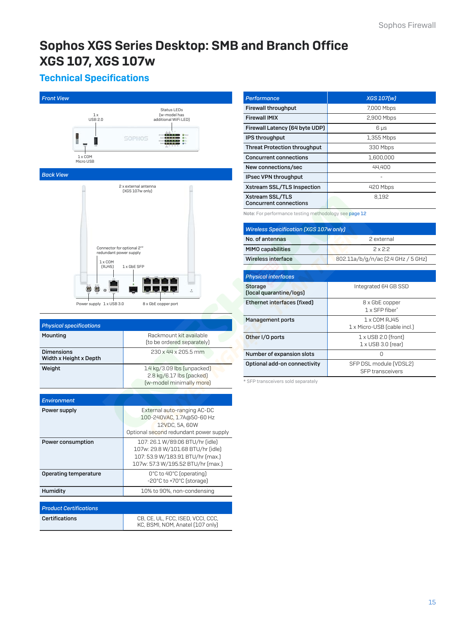# <span id="page-14-0"></span>Sophos XGS Series Desktop: SMB and Branch Office XGS 107, XGS 107w

# Technical Specifications

| <b>Front View</b>                           |                                                                                        |                                                        |                                                                                    |  |
|---------------------------------------------|----------------------------------------------------------------------------------------|--------------------------------------------------------|------------------------------------------------------------------------------------|--|
|                                             | 1 x<br><b>USB 2.0</b>                                                                  |                                                        | Status LEDs<br>(w-model has<br>additional WiFi LED)                                |  |
|                                             |                                                                                        | SOPHOS                                                 |                                                                                    |  |
| $1 \times$ COM<br>Micro USB                 |                                                                                        |                                                        |                                                                                    |  |
| <b>Back View</b>                            |                                                                                        |                                                        |                                                                                    |  |
|                                             | Connector for optional 2nd<br>redundant power supply<br>$1 \times$ COM<br>[RJ45]<br>CC | 2 x external antenna<br>[XGS 107w only]<br>1 x GbE SFP |                                                                                    |  |
|                                             |                                                                                        |                                                        |                                                                                    |  |
|                                             | Power supply 1 x USB 3.0                                                               |                                                        | 8 x GbE copper port                                                                |  |
| <b>Physical specifications</b>              |                                                                                        |                                                        |                                                                                    |  |
| Mounting                                    |                                                                                        |                                                        | Rackmount kit available<br>(to be ordered separately)                              |  |
| <b>Dimensions</b><br>Width x Height x Depth |                                                                                        |                                                        | 230 x 44 x 205.5 mm                                                                |  |
| Weight                                      |                                                                                        |                                                        | 1.4 kg/3.09 lbs [unpacked]<br>2.8 kg/6.17 lbs (packed)<br>(w-model minimally more) |  |
| <b>Environment</b>                          |                                                                                        |                                                        |                                                                                    |  |
| Power supply                                |                                                                                        |                                                        | External auto-ranging AC-DC                                                        |  |

| Environment                   |                                                                                                                                               |
|-------------------------------|-----------------------------------------------------------------------------------------------------------------------------------------------|
| Power supply                  | External auto-ranging AC-DC<br>100-240VAC, 1.7A@50-60 Hz<br>12VDC, 5A, 60W<br>Optional second redundant power supply                          |
| Power consumption             | 107: 26.1 W/89.06 BTU/hr (idle)<br>107w: 29.8 W/101.68 BTU/hr (idle)<br>107: 53.9 W/183.91 BTU/hr (max.)<br>107w: 57.3 W/195.52 BTU/hr (max.) |
| <b>Operating temperature</b>  | O°C to 40°C (operating)<br>-20°C to +70°C (storage)                                                                                           |
| Humidity                      | 10% to 90%, non-condensing                                                                                                                    |
|                               |                                                                                                                                               |
| <b>Product Certifications</b> |                                                                                                                                               |
| Certifications                | ISED VCC<br>rв.<br>- PE<br>FLU.                                                                                                               |

| Certifications | CB, CE, UL, FCC, ISED, VCCI, CCC, |
|----------------|-----------------------------------|
|                | KC, BSMI, NOM, Anatel (107 only)  |

| <b>Performance</b>                               | <b>XGS 107[w]</b> |
|--------------------------------------------------|-------------------|
| <b>Firewall throughput</b>                       | 7,000 Mbps        |
| <b>Firewall IMIX</b>                             | 2,900 Mbps        |
| Firewall Latency (64 byte UDP)                   | $6 \mu s$         |
| <b>IPS throughput</b>                            | 1,355 Mbps        |
| <b>Threat Protection throughput</b>              | 330 Mbps          |
| <b>Concurrent connections</b>                    | 1.600.000         |
| New connections/sec                              | 44,400            |
| IPsec VPN throughput                             |                   |
| Xstream SSL/TLS Inspection                       | 420 Mbps          |
| Xstream SSL/TLS<br><b>Concurrent connections</b> | 8.192             |

Note: For performance testing methodology see [page 1](#page-11-0)2

| <b>Wireless Specification [XGS 107w only]</b> |                                    |  |
|-----------------------------------------------|------------------------------------|--|
| No. of antennas                               | 2 external                         |  |
| <b>MIMO capabilities</b>                      | 2x22                               |  |
| Wireless interface                            | 802.11a/b/g/n/ac [2.4 GHz / 5 GHz] |  |

| <b>Physical interfaces</b>                |                                                         |  |
|-------------------------------------------|---------------------------------------------------------|--|
| <b>Storage</b><br>(local quarantine/logs) | Integrated 64 GB SSD                                    |  |
| Ethernet interfaces (fixed)               | 8 x GbE copper<br>1 x SFP fiher*                        |  |
| Management ports                          | 1 x COM RJ45<br>1 x Micro-USB (cable incl.)             |  |
| Other I/O ports                           | $1 \times$ USB 2.0 (front)<br>$1 \times$ USB 3.0 (rear) |  |
| Number of expansion slots                 |                                                         |  |
| Optional add-on connectivity              | SFP DSL module (VDSL2)<br><b>SFP</b> transceivers       |  |

\* SFP transceivers sold separately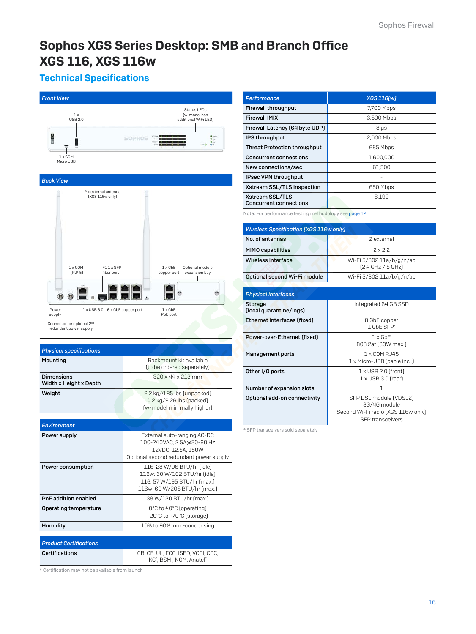# <span id="page-15-0"></span>Sophos XGS Series Desktop: SMB and Branch Office XGS 116, XGS 116w

# Technical Specifications





| <b>Physical specifications</b>       |                                                                                                                           |
|--------------------------------------|---------------------------------------------------------------------------------------------------------------------------|
| Mounting                             | Rackmount kit available<br>(to be ordered separately)                                                                     |
| Dimensions<br>Width x Height x Depth | $320 \times 44 \times 213$ mm                                                                                             |
| Weight                               | 2.2 kg/4.85 lbs [unpacked]<br>4.2 kg/9.26 lbs (packed)<br>(w-model minimally higher)                                      |
|                                      |                                                                                                                           |
| <b>Environment</b>                   |                                                                                                                           |
| Power supply                         | External auto-ranging AC-DC<br>100-240VAC, 2.5A@50-60 Hz<br>12VDC, 12.5A, 150W<br>Optional second redundant power supply  |
| Power consumption                    | 116: 28 W/96 BTU/hr (idle)<br>116w: 30 W/102 BTU/hr (idle)<br>116: 57 W/195 BTU/hr (max.)<br>116w: 60 W/205 BTU/hr (max.) |
| PoE addition enabled                 | 38 W/130 BTU/hr (max.)                                                                                                    |
| Operating temperature                | O°C to 40°C (operating)<br>-20°C to +70°C (storage)                                                                       |
| Humidity                             | 10% to 90%, non-condensing                                                                                                |
|                                      |                                                                                                                           |

#### *Product Certifications* Certifications CB, CE, UL, FCC, ISED, VCCI, CCC, KC\* , BSMI, NOM, Anatel\*

\* Certification may not be available from launch

| <b>Performance</b>                               | <b>XGS 116[w]</b> |
|--------------------------------------------------|-------------------|
| <b>Firewall throughput</b>                       | 7,700 Mbps        |
| <b>Firewall IMIX</b>                             | 3,500 Mbps        |
| Firewall Latency (64 byte UDP)                   | $8 \mu s$         |
| <b>IPS throughput</b>                            | 2,000 Mbps        |
| <b>Threat Protection throughput</b>              | 685 Mbps          |
| <b>Concurrent connections</b>                    | 1.600.000         |
| New connections/sec                              | 61.500            |
| IPsec VPN throughput                             |                   |
| Xstream SSL/TLS Inspection                       | 650 Mbps          |
| Xstream SSL/TLS<br><b>Concurrent connections</b> | 8.192             |

Note: For performance testing methodology see [page 1](#page-11-0)2

| <b>Wireless Specification [XGS 116w only]</b> |                                               |  |
|-----------------------------------------------|-----------------------------------------------|--|
| No. of antennas                               | 2 external                                    |  |
| <b>MIMO capabilities</b>                      | 2x22                                          |  |
| Wireless interface                            | Wi-Fi 5/802.11a/b/g/n/ac<br>[2.4 GHz / 5 GHz] |  |
| Optional second Wi-Fi module                  | Wi-Fi 5/802.11a/b/g/n/ac                      |  |

| <b>Physical interfaces</b>         |                                                                                                         |
|------------------------------------|---------------------------------------------------------------------------------------------------------|
| Storage<br>(local quarantine/logs) | Integrated 64 GB SSD                                                                                    |
| Ethernet interfaces (fixed)        | 8 GbE copper<br>1 GbF SFP*                                                                              |
| Power-over-Ethernet (fixed)        | $1 \times$ GbF<br>803.2at (30W max.)                                                                    |
| Management ports                   | 1 x COM RJ45<br>1 x Micro-USB (cable incl.)                                                             |
| Other I/O ports                    | $1 \times$ USB 2.0 (front)<br>$1 \times$ USB 3.0 (rear)                                                 |
| Number of expansion slots          | 1                                                                                                       |
| Optional add-on connectivity       | SFP DSL module (VDSL2)<br>3G/4G module<br>Second Wi-Fi radio (XGS 116w only)<br><b>SFP</b> transceivers |

\* SFP transceivers sold separately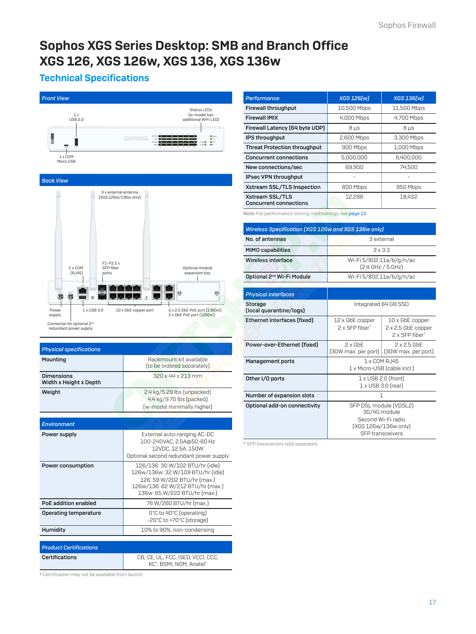# <span id="page-16-0"></span>Sophos XGS Series Desktop: SMB and Branch Office XGS 126, XGS 126w, XGS 136, XGS 136w

# Technical Specifications





| <b>Physical specifications</b>              |                                                                                      |
|---------------------------------------------|--------------------------------------------------------------------------------------|
| Mounting                                    | Rackmount kit available<br>(to be ordered separately)                                |
| <b>Dimensions</b><br>Width x Height x Depth | $320 \times 44 \times 213$ mm                                                        |
| Weight                                      | 2.4 kg/5.29 lbs [unpacked]<br>4.4 kg/9.70 lbs (packed)<br>(w-model minimally higher) |

| <b>Environment</b>            |                                                                                                                                                                         |
|-------------------------------|-------------------------------------------------------------------------------------------------------------------------------------------------------------------------|
| Power supply                  | External auto-ranging AC-DC<br>100-240VAC, 2.5A@50-60 Hz<br>12VDC, 12.5A, 150W<br>Optional second redundant power supply                                                |
| Power consumption             | 126/136: 30 W/102 BTU/hr (idle)<br>126w/136w: 32 W/109 BTU/hr (idle)<br>126: 59 W/202 BTU/hr (max.)<br>126w/136: 62 W/212 BTU/hr (max.)<br>136w: 65 W/222 BTU/hr [max.] |
| PoE addition enabled          | 76 W/260 BTU/hr (max.)                                                                                                                                                  |
| Operating temperature         | O°C to 40°C (operating)<br>-20°C to +70°C (storage)                                                                                                                     |
| Humidity                      | 10% to 90%, non-condensing                                                                                                                                              |
|                               |                                                                                                                                                                         |
| <b>Product Certifications</b> |                                                                                                                                                                         |
| Certifications                | CB, CE, UL, FCC, ISED, VCCI, CCC,                                                                                                                                       |

KC\* , BSMI, NOM, Anatel\*

| <b>Performance</b>                               | <b>XGS 126[w]</b> | <b>XGS 136[w]</b> |
|--------------------------------------------------|-------------------|-------------------|
| <b>Firewall throughput</b>                       | 10,500 Mbps       | 11,500 Mbps       |
| <b>Firewall IMIX</b>                             | 4,000 Mbps        | 4,700 Mbps        |
| Firewall Latency (64 byte UDP)                   | $8 \mu s$         | $8 \mu s$         |
| IPS throughput                                   | 2,600 Mbps        | 3,300 Mbps        |
| <b>Threat Protection throughput</b>              | 900 Mbps          | 1,000 Mbps        |
| <b>Concurrent connections</b>                    | 5.000.000         | 6.400.000         |
| New connections/sec                              | 69.900            | 74.500            |
| IPsec VPN throughput                             |                   |                   |
| Xstream SSL/TLS Inspection                       | 800 Mbps          | 950 Mbps          |
| Xstream SSL/TLS<br><b>Concurrent connections</b> | 12.288            | 18.432            |

Note: For performance testing methodology see [page 1](#page-11-0)2

| <b>Wireless Specification [XGS 126w and XGS 136w only]</b> |                                               |  |
|------------------------------------------------------------|-----------------------------------------------|--|
| No. of antennas                                            | 3 external                                    |  |
| <b>MIMO capabilities</b>                                   | $3 \times 3:3$                                |  |
| Wireless interface                                         | Wi-Fi 5/802.11a/b/g/n/ac<br>[2.4 GHz / 5 GHz] |  |
| Optional 2 <sup>nd</sup> Wi-Fi Module                      | Wi-Fi 5/802.11a/b/g/n/ac                      |  |

| <b>Physical interfaces</b>         |                                                                                                                 |                                                                |
|------------------------------------|-----------------------------------------------------------------------------------------------------------------|----------------------------------------------------------------|
| Storage<br>(local quarantine/logs) | Integrated 64 GB SSD                                                                                            |                                                                |
| Ethernet interfaces (fixed)        | 12 x GbE copper<br>2 x SFP fiber*                                                                               | $10 \times$ GbE copper<br>2 x 2.5 GbE copper<br>2 x SFP fiber* |
| Power-over-Ethernet (fixed)        | $2 \times$ GbF<br>[30W max. per port]                                                                           | $2 \times 2.5$ GbF<br>[30W max. per port]                      |
| <b>Management ports</b>            | 1 x COM RJ45<br>1 x Micro-USB (cable incl.)                                                                     |                                                                |
| Other I/O ports                    | $1 \times$ USB 2.0 (front)<br>$1 \times$ USB 3.0 frearl                                                         |                                                                |
| Number of expansion slots          | 1                                                                                                               |                                                                |
| Optional add-on connectivity       | SFP DSL module (VDSL2)<br>3G/4G module<br>Second Wi-Fi radio<br>[XGS 126w/136w only]<br><b>SFP</b> transceivers |                                                                |

\* SFP transceivers sold separately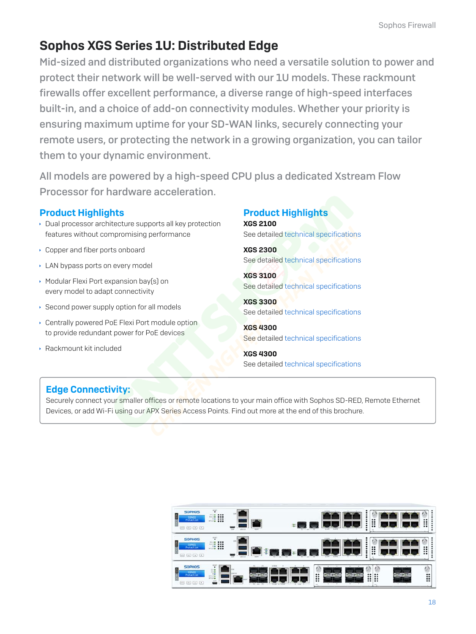# Sophos XGS Series 1U: Distributed Edge

Mid-sized and distributed organizations who need a versatile solution to power and protect their network will be well-served with our 1U models. These rackmount firewalls offer excellent performance, a diverse range of high-speed interfaces built-in, and a choice of add-on connectivity modules. Whether your priority is ensuring maximum uptime for your SD-WAN links, securely connecting your remote users, or protecting the network in a growing organization, you can tailor them to your dynamic environment.

All models are powered by a high-speed CPU plus a dedicated Xstream Flow Processor for hardware acceleration.

### Product Highlights

- **Dual processor architecture supports all key protection** features without compromising performance
- **Copper and fiber ports onboard**
- **LAN bypass ports on every model**
- **Modular Flexi Port expansion bay(s) on** every model to adapt connectivity
- $\rightarrow$  Second power supply option for all models
- **Centrally powered PoE Flexi Port module option** to provide redundant power for PoE devices
- **Rackmount kit included**

# Product Highlights

XGS 2100 See detailed [technical specifications](#page-18-0)

XGS 2300 See detailed [technical specifications](#page-19-0)

XGS 3100 See detailed [technical specifications](#page-20-0)

XGS 3300 See detailed [technical specifications](#page-21-0)

XGS 4300 See detailed [technical specifications](#page-22-0)

XGS 4300 See detailed [technical specifications](#page-23-0)

# Edge Connectivity:

Securely connect your smaller offices or remote locations to your main office with Sophos SD-RED, Remote Ethernet Devices, or add Wi-Fi using our APX Series Access Points. Find out more at the end of this brochure.

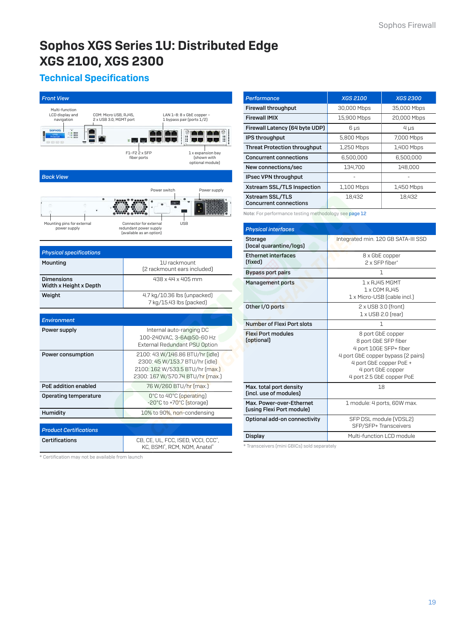# <span id="page-18-0"></span>Sophos XGS Series 1U: Distributed Edge XGS 2100, XGS 2300

# Technical Specifications

| <b>Front View</b>                                                                                  |                                                                                                                                          |
|----------------------------------------------------------------------------------------------------|------------------------------------------------------------------------------------------------------------------------------------------|
| Multi-function<br>LCD display and<br>COM: Micro USB, RJ45,<br>navigation<br>2 x USB 3.0, MGMT port | LAN 1-8: 8 x GbE copper -<br>1 bypass pair (ports 1/2)                                                                                   |
| <b>SOPHOS</b><br>98<br><b>Andre</b><br>8800                                                        |                                                                                                                                          |
|                                                                                                    | F1-F2 2 x SFP<br>1 x expansion bay<br>fiber ports<br>(shown with<br>optional module)                                                     |
| <b>Back View</b>                                                                                   |                                                                                                                                          |
|                                                                                                    | Power supply<br>Power switch                                                                                                             |
|                                                                                                    |                                                                                                                                          |
| Mounting pins for external<br>power supply                                                         | Connector for external<br><b>USB</b><br>redundant power supply<br>(available as an option)                                               |
| <b>Physical specifications</b>                                                                     |                                                                                                                                          |
| Mounting                                                                                           | 1U rackmount<br>(2 rackmount ears included)                                                                                              |
| <b>Dimensions</b><br>Width x Height x Depth                                                        | 438 x 44 x 405 mm                                                                                                                        |
| Weight                                                                                             | 4.7 kg/10.36 lbs [unpacked]<br>7 kg/15.43 lbs (packed)                                                                                   |
|                                                                                                    |                                                                                                                                          |
| Environment                                                                                        |                                                                                                                                          |
| Power supply                                                                                       | Internal auto-ranging DC<br>100-240VAC, 3-6A@50-60 Hz<br>External Redundant PSU Option                                                   |
| Power consumption                                                                                  | 2100: 43 W/146.86 BTU/hr (idle)<br>2300: 45 W/153.7 BTU/hr (idle)<br>2100: 162 W/533.5 BTU/hr [max.]<br>2300: 167 W/570.74 BTU/hr [max.] |
| <b>PoE</b> addition enabled                                                                        | 76 W/260 BTU/hr [max.]                                                                                                                   |
| Operating temperature                                                                              | O°C to 40°C (operating)<br>-20°C to +70°C (storage)                                                                                      |
| Humidity                                                                                           | 10% to 90%, non-condensing                                                                                                               |
|                                                                                                    |                                                                                                                                          |
| <b>Product Certifications</b>                                                                      |                                                                                                                                          |
| <b>Certifications</b>                                                                              | CB, CE, UL, FCC, ISED, VCCI, CCC*,<br>KC, BSMI*, RCM, NOM, Anatel*                                                                       |

| Performance                                      | <b>XGS 2100</b> | <b>XGS 2300</b> |
|--------------------------------------------------|-----------------|-----------------|
| <b>Firewall throughput</b>                       | 30,000 Mbps     | 35,000 Mbps     |
| <b>Firewall IMIX</b>                             | 15,900 Mbps     | 20,000 Mbps     |
| Firewall Latency (64 byte UDP)                   | 6 µs            | $4 \mu s$       |
| IPS throughput                                   | 5,800 Mbps      | 7,000 Mbps      |
| <b>Threat Protection throughput</b>              | 1,250 Mbps      | 1,400 Mbps      |
| <b>Concurrent connections</b>                    | 6,500,000       | 6,500,000       |
| New connections/sec                              | 134.700         | 148,000         |
| IPsec VPN throughput                             |                 |                 |
| Xstream SSL/TLS Inspection                       | 1,100 Mbps      | 1,450 Mbps      |
| Xstream SSL/TLS<br><b>Concurrent connections</b> | 18.432          | 18.432          |

Note: For performance testing methodology see [page 1](#page-11-0)2

| <b>Physical interfaces</b>                            |                                                                                                                                                                                        |
|-------------------------------------------------------|----------------------------------------------------------------------------------------------------------------------------------------------------------------------------------------|
| <b>Storage</b><br>(local quarantine/logs)             | Integrated min. 120 GB SATA-III SSD                                                                                                                                                    |
| <b>Ethernet interfaces</b><br>(fixed)                 | 8 x GbE copper<br>2 x SFP fiber*                                                                                                                                                       |
| <b>Bypass port pairs</b>                              | 1                                                                                                                                                                                      |
| Management ports                                      | 1 x RJ45 MGMT<br>1 x COM RJ45<br>1 x Micro-USB (cable incl.)                                                                                                                           |
| Other I/O ports                                       | $2 \times$ USB 3.0 (front)<br>$1 \times$ USB 2.0 (rear)                                                                                                                                |
| Number of Flexi Port slots                            | 1                                                                                                                                                                                      |
| <b>Flexi Port modules</b><br>(optional)               | 8 port GbE copper<br>8 port GbE SFP fiber<br>4 port 10GE SFP+ fiber<br>4 port GbE copper bypass (2 pairs)<br>4 port GbE copper PoE +<br>4 port GbE copper<br>4 port 2.5 GbE copper PoE |
| Max. total port density<br>(incl. use of modules)     | 18                                                                                                                                                                                     |
| Max. Power-over-Ethernet<br>(using Flexi Port module) | 1 module: 4 ports, 60W max.                                                                                                                                                            |
| Optional add-on connectivity                          | SFP DSL module (VDSL2)<br>SFP/SFP+ Transceivers                                                                                                                                        |
| Display                                               | Multi-function LCD module                                                                                                                                                              |

\* Transceivers (mini GBICs) sold separately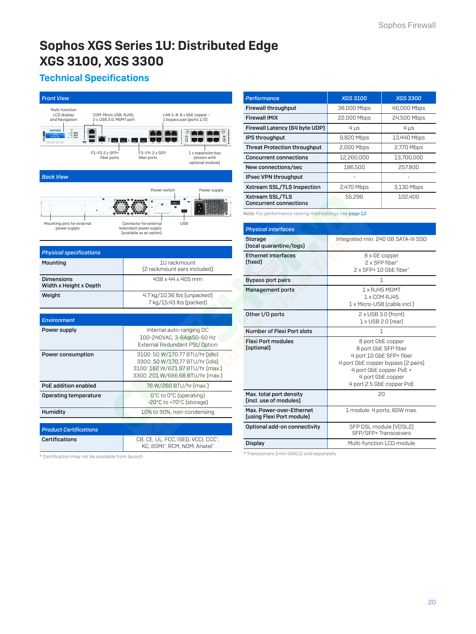# <span id="page-19-0"></span>Sophos XGS Series 1U: Distributed Edge XGS 3100, XGS 3300

# Technical Specifications

| <b>Front View</b>                                                                                                                        |                                                                                                                                            |  |
|------------------------------------------------------------------------------------------------------------------------------------------|--------------------------------------------------------------------------------------------------------------------------------------------|--|
| Multi-function<br>LCD display<br>COM: Micro USB, RJ45,<br>and Navigation<br>2 x USB 3.0, MGMT port                                       | LAN 1-8: 8 x GbE copper -<br>1 bypass pair (ports 1/2)                                                                                     |  |
| <b>SOPHOS</b><br>3800                                                                                                                    |                                                                                                                                            |  |
| F1-F2 2 x SFP+<br>fiber ports                                                                                                            | F3-F4: 2 x SFP<br>1 x expansion bay<br>(shown with<br>fiber ports<br>optional module)                                                      |  |
| <b>Back View</b>                                                                                                                         |                                                                                                                                            |  |
|                                                                                                                                          | Power supply<br>Power switch                                                                                                               |  |
| <b>USB</b><br>Mounting pins for external<br>Connector for external<br>power supply<br>redundant power supply<br>(available as an option) |                                                                                                                                            |  |
| <b>Physical specifications</b>                                                                                                           |                                                                                                                                            |  |
| Mounting                                                                                                                                 | 1U rackmount<br>[2 rackmount ears included]                                                                                                |  |
| <b>Dimensions</b><br>Width x Height x Depth                                                                                              | 438 x 44 x 405 mm                                                                                                                          |  |
| Weight                                                                                                                                   | 4.7 kg/10.36 lbs [unpacked]<br>7 kg/15.43 lbs (packed)                                                                                     |  |
| <b>Environment</b>                                                                                                                       |                                                                                                                                            |  |
| Power supply                                                                                                                             | Internal auto-ranging DC<br>100-240VAC, 3-6A@50-60 Hz<br>External Redundant PSU Option                                                     |  |
| Power consumption                                                                                                                        | 3100: 50 W/170.77 BTU/hr (idle)<br>3300: 50 W/170.77 BTU/hr (idle)<br>3100: 182 W/621.97 BTU/hr [max.]<br>3300: 201 W/686.68 BTU/hr [max.] |  |
| PoE addition enabled                                                                                                                     | 76 W/260 BTU/hr [max.]                                                                                                                     |  |
| Operating temperature                                                                                                                    | O°C to O°C (operating)<br>-20°C to +70°C (storage)                                                                                         |  |
| Humidity                                                                                                                                 | 10% to 90%, non-condensing                                                                                                                 |  |
| <b>Product Certifications</b>                                                                                                            |                                                                                                                                            |  |
| Certifications                                                                                                                           | CB, CE, UL, FCC, ISED, VCCI, CCC <sup>*</sup> ,<br>KC, BSMI*, RCM, NOM, Anatel*                                                            |  |

| Performance                                      | <b>XGS 3100</b> | <b>XGS 3300</b> |
|--------------------------------------------------|-----------------|-----------------|
| <b>Firewall throughput</b>                       | 38,000 Mbps     | 40,000 Mbps     |
| <b>Firewall IMIX</b>                             | 22,000 Mbps     | 24,500 Mbps     |
| Firewall Latency (64 byte UDP)                   | $4 \mu s$       | $4 \mu s$       |
| IPS throughput                                   | 9,820 Mbps      | 13,440 Mbps     |
| <b>Threat Protection throughput</b>              | 2,000 Mbps      | 2,770 Mbps      |
| <b>Concurrent connections</b>                    | 12,260,000      | 13,700,000      |
| New connections/sec                              | 186,500         | 257,800         |
| IPsec VPN throughput                             |                 |                 |
| Xstream SSL/TLS Inspection                       | 2,470 Mbps      | 3,130 Mbps      |
| Xstream SSL/TLS<br><b>Concurrent connections</b> | 55,296          | 102,400         |

Note: For performance testing methodology see [page 1](#page-11-0)2

| <b>Physical interfaces</b>                            |                                                                                                                                                                                          |
|-------------------------------------------------------|------------------------------------------------------------------------------------------------------------------------------------------------------------------------------------------|
| Storage<br>(local quarantine/logs)                    | Integrated min. 240 GB SATA-III SSD                                                                                                                                                      |
| <b>Ethernet interfaces</b><br>(fixed)                 | 8 x GE copper<br>2 x SFP fiber*<br>2 x SFP+ 10 GbE fiber*                                                                                                                                |
| <b>Bypass port pairs</b>                              | 1                                                                                                                                                                                        |
| <b>Management ports</b>                               | 1 x RJ45 MGMT<br>1 x COM RJ45<br>1 x Micro-USB (cable incl.)                                                                                                                             |
| Other I/O ports                                       | $2 \times$ USB 3.0 (front)<br>1 x USB 2.0 [rear]                                                                                                                                         |
| Number of Flexi Port slots                            | 1                                                                                                                                                                                        |
| <b>Flexi Port modules</b><br>(optional)               | 8 port GbE copper<br>8 port GbE SFP fiber<br>4 port 10 GbE SFP+ fiber<br>4 port GbE copper bypass (2 pairs)<br>4 port GbE copper PoE +<br>4 port GbE copper<br>4 port 2.5 GbE copper PoE |
| Max. total port density<br>(incl. use of modules)     | 20                                                                                                                                                                                       |
| Max. Power-over-Ethernet<br>(using Flexi Port module) | 1 module: 4 ports, 60W max.                                                                                                                                                              |
| Optional add-on connectivity                          | SFP DSL module (VDSL2)<br>SFP/SFP+ Transceivers                                                                                                                                          |
| Display                                               | Multi-function LCD module                                                                                                                                                                |

\* Transceivers (mini GBICs) sold separately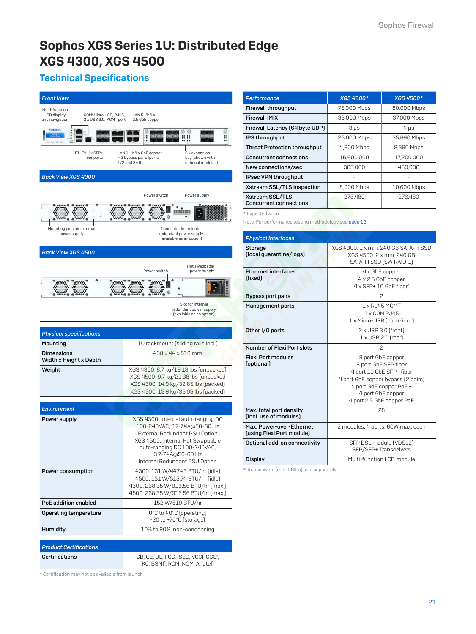# <span id="page-20-0"></span>Sophos XGS Series 1U: Distributed Edge XGS 4300, XGS 4500

# Technical Specifications



*Performance XGS 4300\* XGS 4500\** Firewall throughput 75,000 Mbps 80,000 Mbps **Firewall IMIX** 33,000 Mbps 37,000 Mbps Firewall Latency (64 byte UDP)  $\Big|$  3  $\mu$ s 4  $\mu$ s IPS throughput 25,000 Mbps 35,690 Mbps Threat Protection throughput | 4,800 Mbps | 8,390 Mbps **Concurrent connections** 16,600,000 17,200,000 **New connections/sec 1988,000** 450,000 IPsec VPN throughput Xstream SSL/TLS Inspection 8,000 Mbps 10,600 Mbps Xstream SSL/TLS Concurrent connections 276,480 276,480

\* Expected soon

Note: For performance testing methodology see [page 12](#page-11-0)

| XGS 4300: 1 x min. 240 GB SATA-III SSD<br>XGS 4500: 2 x min, 240 GB<br>SATA-III SSD (SW RAID-1)                                                                                          |
|------------------------------------------------------------------------------------------------------------------------------------------------------------------------------------------|
| 4 x GbE copper<br>$4 \times 2.5$ GbE copper<br>4 x SFP+ 10 GbF fiber*                                                                                                                    |
| $\mathcal{P}$                                                                                                                                                                            |
| 1 x RJ45 MGMT<br>1 x COM RJ45<br>1 x Micro-USB (cable incl.)                                                                                                                             |
| $2 \times$ USB 3.0 (front)<br>$1 \times$ USB 2.0 (rear)                                                                                                                                  |
| 2                                                                                                                                                                                        |
| 8 port GbE copper<br>8 port GbE SFP fiber<br>4 port 10 GbE SFP+ fiber<br>4 port GbE copper bypass (2 pairs)<br>4 port GbE copper PoE +<br>4 port GbE copper<br>4 port 2.5 GbE copper PoE |
| 28                                                                                                                                                                                       |
| 2 modules: 4 ports, 60W max. each                                                                                                                                                        |
| SFP DSL module (VDSL2)<br>SFP/SFP+Transceivers                                                                                                                                           |
| Multi-function LCD module                                                                                                                                                                |
|                                                                                                                                                                                          |

\* Transceivers (mini GBICs) sold separately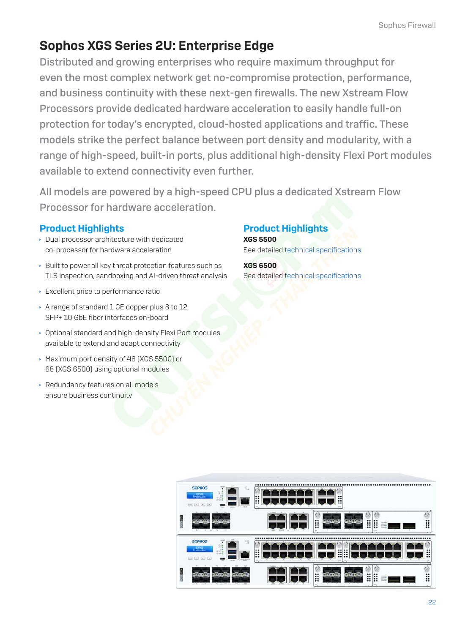# <span id="page-21-0"></span>Sophos XGS Series 2U: Enterprise Edge

Distributed and growing enterprises who require maximum throughput for even the most complex network get no-compromise protection, performance, and business continuity with these next-gen firewalls. The new Xstream Flow Processors provide dedicated hardware acceleration to easily handle full-on protection for today's encrypted, cloud-hosted applications and traffic. These models strike the perfect balance between port density and modularity, with a range of high-speed, built-in ports, plus additional high-density Flexi Port modules available to extend connectivity even further.

All models are powered by a high-speed CPU plus a dedicated Xstream Flow Processor for hardware acceleration.

### Product Highlights

- $\rightarrow$  Dual processor architecture with dedicated co-processor for hardware acceleration
- $\rightarrow$  Built to power all key threat protection features such as TLS inspection, sandboxing and AI-driven threat analysis
- **Excellent price to performance ratio**
- A range of standard 1 GE copper plus 8 to 12 SFP+ 10 GbE fiber interfaces on-board
- **Optional standard and high-density Flexi Port modules** available to extend and adapt connectivity
- ▸ Maximum port density of 48 (XGS 5500) or 68 (XGS 6500) using optional modules
- ▸ Redundancy features on all models ensure business continuity

# Product Highlights

XGS 5500 See detailed [technical specifications](#page-22-0)

XGS 6500 See detailed [technical specifications](#page-23-0)

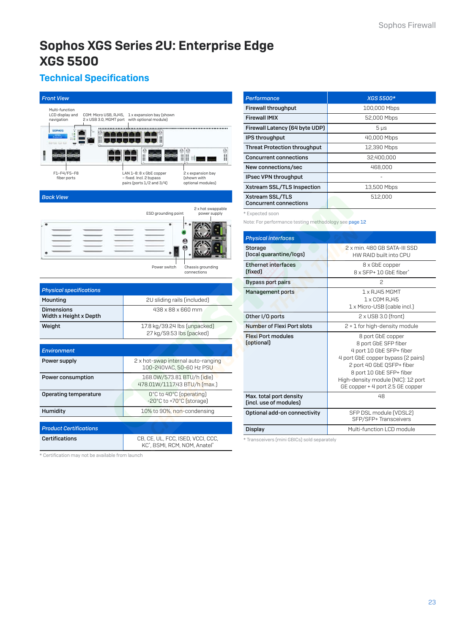# <span id="page-22-0"></span>Sophos XGS Series 2U: Enterprise Edge XGS 5500

# Technical Specifications

| <b>Front View</b>                                                        |                                                                                                                                          |  |
|--------------------------------------------------------------------------|------------------------------------------------------------------------------------------------------------------------------------------|--|
| Multi-function<br>LCD display and<br>COM: Micro USB, RJ45,<br>navigation | 1 x expansion bay (shown<br>2 x USB 3.0, MGMT port with optional module)                                                                 |  |
| <b>SOPHOS</b><br>eead                                                    |                                                                                                                                          |  |
|                                                                          | 00<br>II d                                                                                                                               |  |
| F1-F4/F5-F8<br>fiber ports                                               | LAN 1-8: 8 x GbE copper<br>2 x expansion bay<br>- fixed. Incl. 2 bypass<br>(shown with<br>pairs (ports 1/2 and 3/4)<br>optional modules) |  |
| <b>Back View</b>                                                         |                                                                                                                                          |  |
|                                                                          | 2 x hot swappable<br>ESD grounding point<br>power supply                                                                                 |  |
|                                                                          |                                                                                                                                          |  |
|                                                                          | Power switch<br>Chassis grounding<br>connections                                                                                         |  |
| <b>Physical specifications</b>                                           |                                                                                                                                          |  |
| Mounting                                                                 | 2U sliding rails (included)                                                                                                              |  |
| <b>Dimensions</b><br>Width x Height x Depth                              | 438 x 88 x 660 mm                                                                                                                        |  |
| Weight                                                                   | 17.8 kg/39.24 lbs [unpacked]<br>27 kg/59.53 lbs (packed)                                                                                 |  |
| <b>Environment</b>                                                       |                                                                                                                                          |  |
| Power supply                                                             | 2 x hot-swap internal auto-ranging<br>100-240VAC, 50-60 Hz PSU                                                                           |  |
| Power consumption                                                        | 168.0W/573.81 BTU/h (idle)<br>478.01W/1117.43 BTU/h [max.]                                                                               |  |
| <b>Operating temperature</b>                                             | O°C to 40°C (operating)<br>-20°C to +70°C (storage)                                                                                      |  |
| Humidity                                                                 | 10% to 90%, non-condensing                                                                                                               |  |
| <b>Product Certifications</b>                                            |                                                                                                                                          |  |
| <b>Certifications</b>                                                    | CB, CE, UL, FCC, ISED, VCCI, CCC,<br>KC*, BSMI, RCM, NOM, Anatel*                                                                        |  |

\* Certification may not be available from launch

| <b>Performance</b>                               | <b>XGS 5500*</b> |
|--------------------------------------------------|------------------|
| <b>Firewall throughput</b>                       | 100,000 Mbps     |
| <b>Firewall IMIX</b>                             | 52,000 Mbps      |
| Firewall Latency (64 byte UDP)                   | $5 \mu s$        |
| IPS throughput                                   | 40,000 Mbps      |
| <b>Threat Protection throughput</b>              | 12,390 Mbps      |
| <b>Concurrent connections</b>                    | 32,400,000       |
| New connections/sec                              | 468,000          |
| <b>IPsec VPN throughput</b>                      |                  |
| Xstream SSL/TLS Inspection                       | 13,500 Mbps      |
| Xstream SSL/TLS<br><b>Concurrent connections</b> | 512,000          |

\* Expected soon

Note: For performance testing methodology see [page 12](#page-11-0)

| <b>Physical interfaces</b>                        |                                                                                                                                                                                                                                                |  |  |  |
|---------------------------------------------------|------------------------------------------------------------------------------------------------------------------------------------------------------------------------------------------------------------------------------------------------|--|--|--|
| Storage<br>(local quarantine/logs)                | 2 x min. 480 GB SATA-III SSD<br>HW RAID built into CPU                                                                                                                                                                                         |  |  |  |
| <b>Ethernet interfaces</b><br>(fixed)             | 8 x GbE copper<br>8 x SFP+ 10 GbF fiber*                                                                                                                                                                                                       |  |  |  |
| Bypass port pairs                                 | 2                                                                                                                                                                                                                                              |  |  |  |
| Management ports                                  | 1 x RJ45 MGMT<br>1 x COM RJ45<br>1 x Micro-USB (cable incl.)                                                                                                                                                                                   |  |  |  |
| Other I/O ports                                   | $2 \times$ USB 3.0 (front)                                                                                                                                                                                                                     |  |  |  |
| Number of Flexi Port slots                        | 2 + 1 for high-density module                                                                                                                                                                                                                  |  |  |  |
| <b>Flexi Port modules</b><br>(optional)           | 8 port GbE copper<br>8 port GbE SFP fiber<br>4 port 10 GbE SFP+ fiber<br>4 port GbE copper bypass (2 pairs)<br>2 port 40 GbE QSFP+ fiber<br>8 port 10 GbE SFP+ fiber<br>High-density module (NIC): 12 port<br>GE copper + 4 port 2.5 GE copper |  |  |  |
| Max. total port density<br>(incl. use of modules) | 48                                                                                                                                                                                                                                             |  |  |  |
| Optional add-on connectivity                      | SFP DSL module (VDSL2)<br>SFP/SFP+ Transceivers                                                                                                                                                                                                |  |  |  |
| Display                                           | Multi-function LCD module                                                                                                                                                                                                                      |  |  |  |
| * Transceivers (mini GBICs) sold separately       |                                                                                                                                                                                                                                                |  |  |  |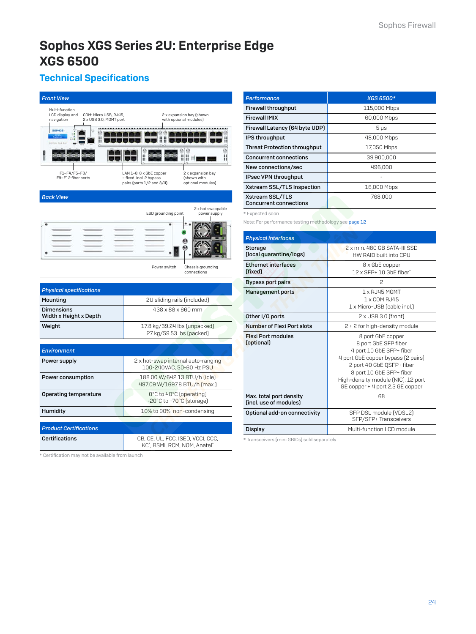# <span id="page-23-0"></span>Sophos XGS Series 2U: Enterprise Edge XGS 6500

# Technical Specifications

| <b>Front View</b>                                                                                  |                                                                                                                                          |  |  |
|----------------------------------------------------------------------------------------------------|------------------------------------------------------------------------------------------------------------------------------------------|--|--|
| Multi-function<br>LCD display and<br>COM: Micro USB, RJ45,<br>navigation<br>2 x USB 3.0, MGMT port | 2 x expansion bay (shown<br>with optional modules)                                                                                       |  |  |
| <b>SOPHOS</b><br>Ħ<br>0000                                                                         |                                                                                                                                          |  |  |
|                                                                                                    | ⊞                                                                                                                                        |  |  |
| F1-F4/F5-F8/<br>F9-F12 fiber ports                                                                 | LAN 1-8: 8 x GbE copper<br>2 x expansion bay<br>- fixed. Incl. 2 bypass<br>(shown with<br>pairs (ports 1/2 and 3/4)<br>optional modules) |  |  |
| <b>Back View</b>                                                                                   |                                                                                                                                          |  |  |
|                                                                                                    | 2 x hot swappable<br>ESD grounding point<br>power supply                                                                                 |  |  |
|                                                                                                    |                                                                                                                                          |  |  |
| Power switch<br>Chassis grounding<br>connections                                                   |                                                                                                                                          |  |  |
| <b>Physical specifications</b>                                                                     |                                                                                                                                          |  |  |
| Mounting                                                                                           | 2U sliding rails (included)                                                                                                              |  |  |
| 438 x 88 x 660 mm<br>Dimensions<br>Width x Height x Depth                                          |                                                                                                                                          |  |  |
| 17.8 kg/39.24 lbs [unpacked]<br>Weight<br>27 kg/59.53 lbs (packed)                                 |                                                                                                                                          |  |  |
| Environment                                                                                        |                                                                                                                                          |  |  |
| Power supply                                                                                       | 2 x hot-swap internal auto-ranging<br>100-240VAC, 50-60 Hz PSU                                                                           |  |  |
| Power consumption                                                                                  | 188.00 W/642.13 BTU/h (idle)<br>497.09 W/1697.8 BTU/h (max.)                                                                             |  |  |
| Operating temperature                                                                              | O°C to 40°C (operating)<br>-20°C to +70°C (storage)                                                                                      |  |  |
| Humidity                                                                                           | 10% to 90%, non-condensing                                                                                                               |  |  |
| <b>Product Certifications</b>                                                                      |                                                                                                                                          |  |  |
| <b>Certifications</b>                                                                              | CB, CE, UL, FCC, ISED, VCCI, CCC,<br>KC*, BSMI, RCM, NOM, Anatel*                                                                        |  |  |

\* Certification may not be available from launch

| <b>Performance</b>                               | <b>XGS 6500*</b> |
|--------------------------------------------------|------------------|
| <b>Firewall throughput</b>                       | 115,000 Mbps     |
| <b>Firewall IMIX</b>                             | 60,000 Mbps      |
| Firewall Latency (64 byte UDP)                   | $5 \mu s$        |
| IPS throughput                                   | 48,000 Mbps      |
| <b>Threat Protection throughput</b>              | 17,050 Mbps      |
| <b>Concurrent connections</b>                    | 39.900.000       |
| New connections/sec                              | 496,000          |
| IPsec VPN throughput                             |                  |
| Xstream SSL/TLS Inspection                       | 16,000 Mbps      |
| Xstream SSL/TLS<br><b>Concurrent connections</b> | 768,000          |

\* Expected soon

Note: For performance testing methodology see [page 12](#page-11-0)

| <b>Physical interfaces</b>                        |                                                                                                                                                                                                                                                |
|---------------------------------------------------|------------------------------------------------------------------------------------------------------------------------------------------------------------------------------------------------------------------------------------------------|
| Storage<br>(local quarantine/logs)                | 2 x min. 480 GB SATA-III SSD<br>HW RAID built into CPU                                                                                                                                                                                         |
| <b>Ethernet interfaces</b><br>(fixed)             | 8 x GbE copper<br>12 x SEP+ 10 GbF fiber*                                                                                                                                                                                                      |
| Bypass port pairs                                 | $\mathcal{P}$                                                                                                                                                                                                                                  |
| <b>Management ports</b>                           | $1 \times R$ , 145 MGMT<br>1 x COM RJ45<br>1 x Micro-USB (cable incl.)                                                                                                                                                                         |
| Other I/O ports                                   | $2 \times$ USB 3.0 (front)                                                                                                                                                                                                                     |
| Number of Flexi Port slots                        | 2 + 2 for high-density module                                                                                                                                                                                                                  |
| <b>Flexi Port modules</b><br>(optional)           | 8 port GbE copper<br>8 port GbE SFP fiber<br>4 port 10 GbE SFP+ fiber<br>4 port GbE copper bypass (2 pairs)<br>2 port 40 GbE QSFP+ fiber<br>8 port 10 GbE SFP+ fiber<br>High-density module (NIC): 12 port<br>GE copper + 4 port 2.5 GE copper |
| Max. total port density<br>(incl. use of modules) | 68                                                                                                                                                                                                                                             |
| Optional add-on connectivity                      | SFP DSL module (VDSL2)<br>SFP/SFP+Transceivers                                                                                                                                                                                                 |
| Display                                           | Multi-function LCD module                                                                                                                                                                                                                      |
|                                                   |                                                                                                                                                                                                                                                |

\* Transceivers (mini GBICs) sold separately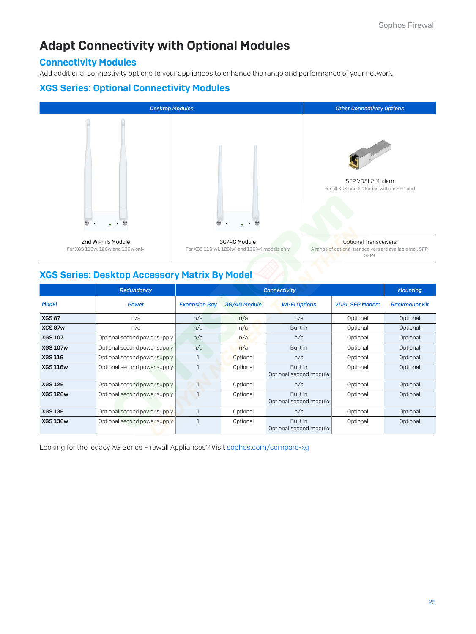# Adapt Connectivity with Optional Modules

### Connectivity Modules

Add additional connectivity options to your appliances to enhance the range and performance of your network.

### XGS Series: Optional Connectivity Modules



### XGS Series: Desktop Accessory Matrix By Model

|                 | Redundancy                   |                      | <b>Mounting</b> |                                    |                       |                      |
|-----------------|------------------------------|----------------------|-----------------|------------------------------------|-----------------------|----------------------|
| <b>Model</b>    | <b>Power</b>                 | <b>Expansion Bay</b> | 3G/4G Module    | <b>Wi-Fi Options</b>               | <b>VDSL SFP Modem</b> | <b>Rackmount Kit</b> |
| <b>XGS 87</b>   | n/a                          | n/a                  | n/a             | n/a                                | Optional              | Optional             |
| XGS 87w         | n/a                          | n/a                  | n/a             | Built in                           | Optional              | Optional             |
| <b>XGS 107</b>  | Optional second power supply | n/a                  | n/a             | n/a                                | Optional              | Optional             |
| <b>XGS 107w</b> | Optional second power supply | n/a                  | n/a             | Built in                           | Optional              | Optional             |
| <b>XGS 116</b>  | Optional second power supply | $\mathbf 1$          | Optional        | n/a                                | Optional              | Optional             |
| <b>XGS 116w</b> | Optional second power supply | $\mathbf{1}$         | Optional        | Built in<br>Optional second module | Optional              | Optional             |
| <b>XGS 126</b>  | Optional second power supply | $\mathbf{1}$         | Optional        | n/a                                | Optional              | Optional             |
| <b>XGS 126w</b> | Optional second power supply | $\mathbf{1}$         | Optional        | Built in<br>Optional second module | Optional              | Optional             |
| <b>XGS 136</b>  | Optional second power supply | $\mathbf{1}$         | Optional        | n/a                                | Optional              | Optional             |
| <b>XGS 136w</b> | Optional second power supply | $\mathbf 1$          | Optional        | Built in<br>Optional second module | Optional              | Optional             |

Looking for the legacy XG Series Firewall Appliances? Visit [sophos.com/compare-xg](https://www.sophos.com/compare-xg)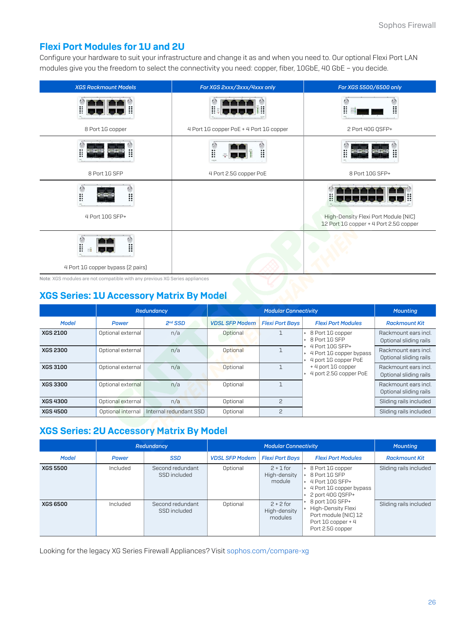# Flexi Port Modules for 1U and 2U

Configure your hardware to suit your infrastructure and change it as and when you need to. Our optional Flexi Port LAN modules give you the freedom to select the connectivity you need: copper, fiber, 10GbE, 40 GbE – you decide.

| <b>XGS Rackmount Models</b>                     | For XGS 2xxx/3xxx/4xxx only             | For XGS 5500/6500 only                                                         |
|-------------------------------------------------|-----------------------------------------|--------------------------------------------------------------------------------|
| H<br>Ä                                          | l                                       |                                                                                |
| 8 Port 1G copper                                | 4 Port 1G copper PoE + 4 Port 1G copper | 2 Port 40G QSFP+                                                               |
| Ħ                                               | Ä<br>Ħ                                  | H<br>                                                                          |
| 8 Port 1G SFP                                   | 4 Port 2.5G copper PoE                  | 8 Port 10G SFP+                                                                |
| Ä<br><br>።<br>4 Port 10G SFP+                   |                                         | High-Density Flexi Port Module (NIC)<br>12 Port 1G copper + 4 Port 2.5G copper |
| H<br><br>።<br>4 Port 1G copper bypass (2 pairs) |                                         |                                                                                |

Note: XGS modules are not compatible with any previous XG Series appliances

# XGS Series: 1U Accessory Matrix By Model

|                 |                   | Redundancy             | <b>Modular Connectivity</b> |                        |                                                                    | <b>Mounting</b>                                |
|-----------------|-------------------|------------------------|-----------------------------|------------------------|--------------------------------------------------------------------|------------------------------------------------|
| <b>Model</b>    | <b>Power</b>      | $2nd$ SSD              | <b>VDSL SFP Modem</b>       | <b>Flexi Port Bays</b> | <b>Flexi Port Modules</b>                                          | <b>Rackmount Kit</b>                           |
| <b>XGS 2100</b> | Optional external | n/a                    | Optional                    |                        | ▶ 8 Port 1G copper<br>$\cdot$ 8 Port 1G SFP                        | Rackmount ears incl.<br>Optional sliding rails |
| <b>XGS 2300</b> | Optional external | n/a                    | Optional                    |                        | 4 Port 10G SFP+<br>4 Port 1G copper bypass<br>4 port 1G copper PoE | Rackmount ears incl.<br>Optional sliding rails |
| <b>XGS 3100</b> | Optional external | n/a                    | Optional                    |                        | + 4 port 1G copper<br>4 port 2.5G copper PoE                       | Rackmount ears incl.<br>Optional sliding rails |
| <b>XGS 3300</b> | Optional external | n/a                    | Optional                    |                        |                                                                    | Rackmount ears incl.<br>Optional sliding rails |
| <b>XGS 4300</b> | Optional external | n/a                    | Optional                    | 2                      |                                                                    | Sliding rails included                         |
| <b>XGS 4500</b> | Optional internal | Internal redundant SSD | Optional                    | $\mathcal{P}$          |                                                                    | Sliding rails included                         |

# XGS Series: 2U Accessory Matrix By Model

|                 |              | Redundancy                       | <b>Modular Connectivity</b> |                                        |                                                                                                                                                                                                                                                      | <b>Mounting</b>        |
|-----------------|--------------|----------------------------------|-----------------------------|----------------------------------------|------------------------------------------------------------------------------------------------------------------------------------------------------------------------------------------------------------------------------------------------------|------------------------|
| <b>Model</b>    | <b>Power</b> | <b>SSD</b>                       | <b>VDSL SFP Modem</b>       | <b>Flexi Port Bays</b>                 | <b>Flexi Port Modules</b>                                                                                                                                                                                                                            | <b>Rackmount Kit</b>   |
| <b>XGS 5500</b> | Included     | Second redundant<br>SSD included | Optional                    | $2 + 1$ for<br>High-density<br>module  | ▶ 8 Port 1G copper<br>$\cdot$ 8 Port 1G SFP<br>$\cdot$ 4 Port 10G SFP+<br>▸ 4 Port 1G copper bypass<br>$\cdot$ 2 port 40G QSFP+<br>$\cdot$ 8 port 10G SFP+<br>▶ High-Density Flexi<br>Port module (NIC) 12<br>Port 1G copper + 4<br>Port 2.5G copper | Sliding rails included |
| <b>XGS 6500</b> | Included     | Second redundant<br>SSD included | Optional                    | $2 + 2$ for<br>High-density<br>modules |                                                                                                                                                                                                                                                      | Sliding rails included |

Looking for the legacy XG Series Firewall Appliances? Visit [sophos.com/compare-xg](https://www.sophos.com/compare-xg)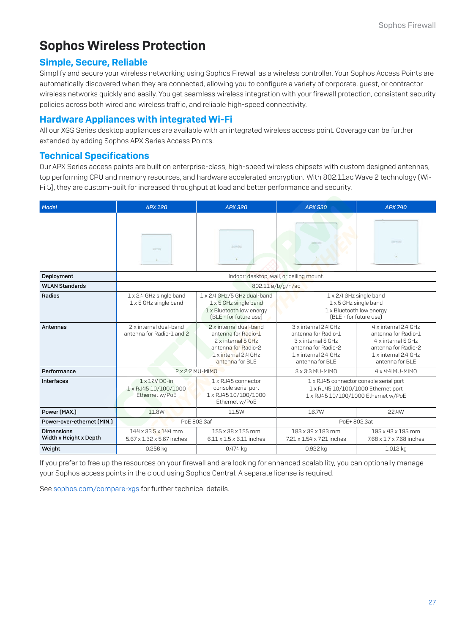# Sophos Wireless Protection

### Simple, Secure, Reliable

Simplify and secure your wireless networking using Sophos Firewall as a wireless controller. Your Sophos Access Points are automatically discovered when they are connected, allowing you to configure a variety of corporate, guest, or contractor wireless networks quickly and easily. You get seamless wireless integration with your firewall protection, consistent security policies across both wired and wireless traffic, and reliable high-speed connectivity.

### Hardware Appliances with integrated Wi-Fi

All our XGS Series desktop appliances are available with an integrated wireless access point. Coverage can be further extended by adding Sophos APX Series Access Points.

### Technical Specifications

Our APX Series access points are built on enterprise-class, high-speed wireless chipsets with custom designed antennas, top performing CPU and memory resources, and hardware accelerated encryption. With 802.11ac Wave 2 technology (Wi-Fi 5), they are custom-built for increased throughput at load and better performance and security.

| Model                                       | APX 120                                                        | APX 320                                                                                                                               | <b>APX 530</b>                                                                                                                      | <b>APX 740</b>                                                                                                                      |  |
|---------------------------------------------|----------------------------------------------------------------|---------------------------------------------------------------------------------------------------------------------------------------|-------------------------------------------------------------------------------------------------------------------------------------|-------------------------------------------------------------------------------------------------------------------------------------|--|
|                                             | Schrein                                                        | <b>BOPHICKS</b>                                                                                                                       |                                                                                                                                     | <b>CONTRACTOR</b>                                                                                                                   |  |
| Deployment                                  |                                                                | Indoor; desktop, wall, or ceiling mount.                                                                                              |                                                                                                                                     |                                                                                                                                     |  |
| <b>WLAN Standards</b>                       |                                                                | 802.11 a/b/g/n/ac                                                                                                                     |                                                                                                                                     |                                                                                                                                     |  |
| Radios                                      | 1 x 2.4 GHz single band<br>1 x 5 GHz single band               | 1 x 2.4 GHz/5 GHz dual-band<br>1 x 5 GHz single band<br>1 x Bluetooth low energy<br>(BLE - for future use)                            | 1 x 2.4 GHz single band<br>1 x 5 GHz single band<br>1 x Bluetooth low energy<br>(BLE - for future use)                              |                                                                                                                                     |  |
| Antennas                                    | 2 x internal dual-band<br>antenna for Radio-1 and 2            | 2 x internal dual-band<br>antenna for Radio-1<br>2 x internal 5 GHz<br>antenna for Radio-2<br>1 x internal 2.4 GHz<br>antenna for BLF | 3 x internal 2.4 GHz<br>antenna for Radio-1<br>3 x internal 5 GHz<br>antenna for Radio-2<br>1 x internal 2.4 GHz<br>antenna for BLF | 4 x internal 2.4 GHz<br>antenna for Radio-1<br>4 x internal 5 GHz<br>antenna for Radio-2<br>1 x internal 2.4 GHz<br>antenna for BLF |  |
| Performance                                 | 2 x 2:2 MU-MIMO                                                |                                                                                                                                       | 3 x 3:3 MU-MIMO                                                                                                                     | 4 x 4:4 MU-MIMO                                                                                                                     |  |
| Interfaces                                  | $1 \times 12V$ DC-in<br>1 x RJ45 10/100/1000<br>Ethernet w/PoE | 1 x RJ45 connector<br>console serial port<br>1 x RJ45 10/100/1000<br>Ethernet w/PoE                                                   | 1 x RJ45 connector console serial port<br>1 x RJ45 10/100/1000 Ethernet port<br>1 x RJ45 10/100/1000 Ethernet w/PoE                 |                                                                                                                                     |  |
| Power (MAX.)                                | 11.8W                                                          | 11.5W                                                                                                                                 | 16.7W                                                                                                                               | 22.4W                                                                                                                               |  |
| Power-over-ethernet (MIN.)                  |                                                                | PoE 802.3af                                                                                                                           | PoE+802.3at                                                                                                                         |                                                                                                                                     |  |
| <b>Dimensions</b><br>Width x Height x Depth | 144 x 33.5 x 144 mm<br>5.67 x 1.32 x 5.67 inches               | 155 x 38 x 155 mm<br>$6.11 \times 1.5 \times 6.11$ inches                                                                             | 183 x 39 x 183 mm<br>7.21 x 1.54 x 7.21 inches                                                                                      | 195 x 43 x 195 mm<br>7.68 x 1.7 x 7.68 inches                                                                                       |  |
| Weight                                      | 0.256 kg                                                       | 0.474 kg                                                                                                                              | 0.922 kg                                                                                                                            | 1.012 kg                                                                                                                            |  |

If you prefer to free up the resources on your firewall and are looking for enhanced scalability, you can optionally manage your Sophos access points in the cloud using Sophos Central. A separate license is required.

See [sophos.com/compare-xgs](https://www.sophos.com/compare-xgs) for further technical details.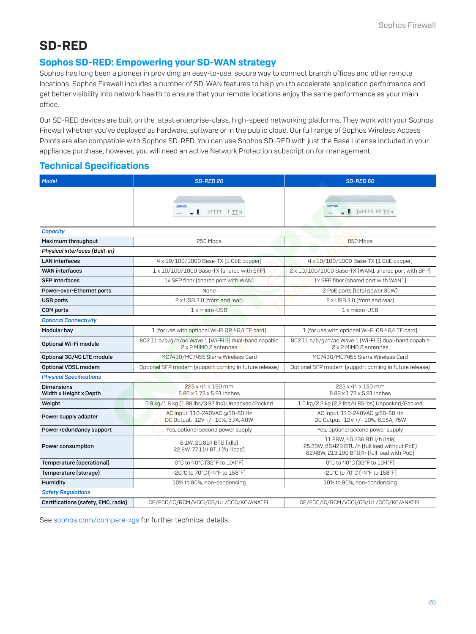# SD-RED

### Sophos SD-RED: Empowering your SD-WAN strategy

Sophos has long been a pioneer in providing an easy-to-use, secure way to connect branch offices and other remote locations. Sophos Firewall includes a number of SD-WAN features to help you to accelerate application performance and get better visibility into network health to ensure that your remote locations enjoy the same performance as your main office.

Our SD-RED devices are built on the latest enterprise-class, high-speed networking platforms. They work with your Sophos Firewall whether you've deployed as hardware, software or in the public cloud. Our full range of Sophos Wireless Access Points are also compatible with Sophos SD-RED. You can use Sophos SD-RED with just the Base License included in your appliance purchase, however, you will need an active Network Protection subscription for management.

### Technical Specifications

| <b>Model</b>                                                                                  | <b>SD-RED 20</b>                                                              | <b>SD-RED 60</b>                                                                                                          |  |
|-----------------------------------------------------------------------------------------------|-------------------------------------------------------------------------------|---------------------------------------------------------------------------------------------------------------------------|--|
|                                                                                               | SOPHOS<br>TITTI<br>TTT                                                        | I TEITITITTE                                                                                                              |  |
| <b>Capacity</b>                                                                               |                                                                               |                                                                                                                           |  |
| Maximum throughput                                                                            | 250 Mbps                                                                      | 850 Mbps                                                                                                                  |  |
| <b>Physical interfaces [Built-in]</b>                                                         |                                                                               |                                                                                                                           |  |
| <b>LAN</b> interfaces                                                                         | 4 x 10/100/1000 Base-TX (1 GbE copper)                                        | 4 x 10/100/1000 Base-TX (1 GbE copper)                                                                                    |  |
| <b>WAN</b> interfaces                                                                         | 1 x 10/100/1000 Base-TX (shared with SFP)                                     | 2 x 10/100/1000 Base-TX (WAN1 shared port with SFP)                                                                       |  |
| <b>SFP</b> interfaces                                                                         | 1x SFP fiber (shared port with WAN)                                           | 1x SFP fiber (shared port with WAN1)                                                                                      |  |
| Power-over-Ethernet ports                                                                     | None                                                                          | 2 PoE ports (total power 30W)                                                                                             |  |
| <b>USB ports</b>                                                                              | 2 x USB 3.0 (front and rear)                                                  | 2 x USB 3.0 (front and rear)                                                                                              |  |
| <b>COM</b> ports                                                                              | 1 x micro-USB                                                                 | 1 x micro-USB                                                                                                             |  |
| <b>Optional Connectivity</b>                                                                  |                                                                               |                                                                                                                           |  |
| Modular bay                                                                                   | 1 (for use with optional Wi-Fi OR 4G/LTE card)                                | 1 (for use with optional Wi-Fi OR 4G/LTE card)                                                                            |  |
| Optional Wi-Fi module                                                                         | 802.11 a/b/g/n/ac Wave 1 [Wi-Fi 5] dual-band capable<br>2 x 2 MIMO 2 antennas | 802.11 a/b/g/n/ac Wave 1 [Wi-Fi 5] dual-band capable<br>2 x 2 MIMO 2 antennas                                             |  |
| Optional 3G/4G LTE module                                                                     | MC7430/MC7455 Sierra Wireless Card                                            | MC7430/MC7455 Sierra Wireless Card                                                                                        |  |
| Optional VDSL modem                                                                           | Optional SFP modem (support coming in future release)                         | Optional SFP modem (support coming in future release)                                                                     |  |
| <b>Physical Specifications</b>                                                                |                                                                               |                                                                                                                           |  |
| 225 x 44 x 150 mm<br><b>Dimensions</b><br>Width x Height x Depth<br>8.86 x 1.73 x 5.91 inches |                                                                               | 225 x 44 x 150 mm<br>8.86 x 1.73 x 5.91 inches                                                                            |  |
| Weight                                                                                        | 0.9 kg/1.8 kg (1.98 lbs/3.97 lbs) Unpacked/Packed                             | 1.0 kg/2.2 kg [2.2 lbs/4.85 lbs] Unpacked/Packed                                                                          |  |
| Power supply adapter                                                                          | AC Input: 110-240VAC @50-60 Hz<br>DC Output: 12V +/- 10%, 3.7A, 40W           | AC Input: 110-240VAC @50-60 Hz<br>DC Output: 12V +/- 10%, 6.95A, 75W                                                      |  |
| Power redundancy support                                                                      | Yes, optional second power supply                                             | Yes, optional second power supply                                                                                         |  |
| Power consumption                                                                             | 6.1W, 20.814 BTU (idle)<br>22.6W, 77.114 BTU (full load)                      | 11.88W, 40.536 BTU/h (idle)<br>25.33W, 86.429 BTU/h [full load without PoE]<br>62.48W, 213.190 BTU/h [full load with PoE] |  |
| Temperature (operational)                                                                     | 0°C to 40°C (32°F to 104°F)                                                   | 0°C to 40°C (32°F to 104°F)                                                                                               |  |
| Temperature (storage)                                                                         | -20°C to 70°C [-4°F to 158°F]                                                 | -20°C to 70°C [-4°F to 158°F]                                                                                             |  |
| Humidity                                                                                      | 10% to 90%, non-condensing                                                    | 10% to 90%, non-condensing                                                                                                |  |
| <b>Safety Regulations</b>                                                                     |                                                                               |                                                                                                                           |  |
| Certifications (safety, EMC, radio)                                                           | CE/FCC/IC/RCM/VCCI/CB/UL/CCC/KC/ANATEL                                        | CE/FCC/IC/RCM/VCCI/CB/UL/CCC/KC/ANATEL                                                                                    |  |

See [sophos.com/compare-xgs](https://www.sophos.com/compare-xgs) for further technical details.